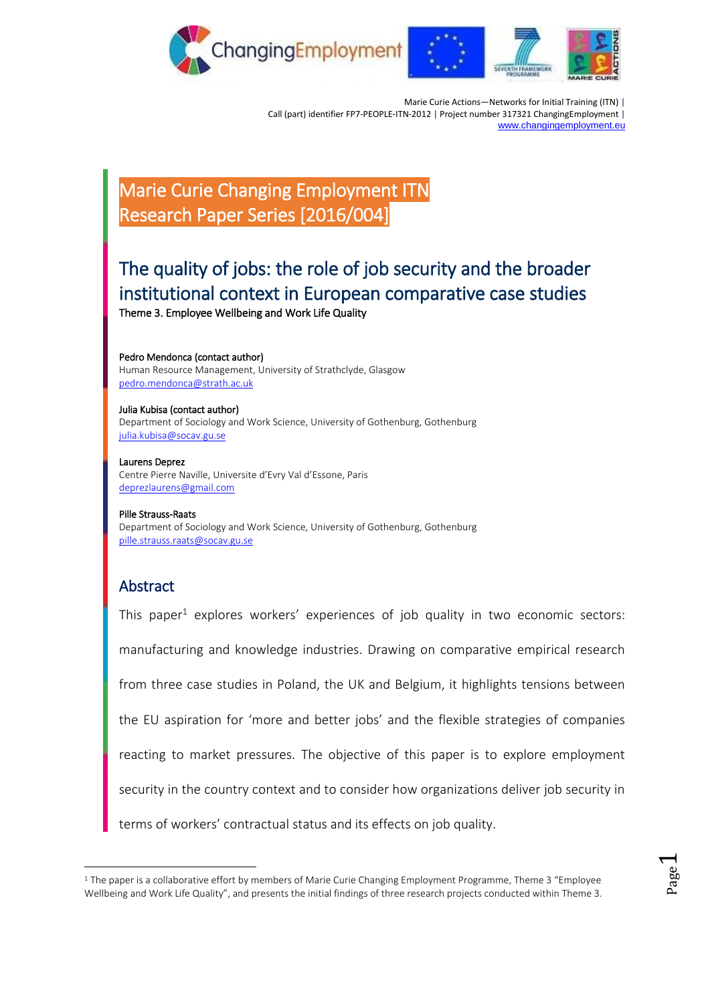

Marie Curie Actions—Networks for Initial Training (ITN) | Call (part) identifier FP7-PEOPLE-ITN-2012 | Project number 317321 ChangingEmployment | [www.changingemployment.eu](http://www.changingemployment.eu/)

# Marie Curie Changing Employment ITN Research Paper Series [2016/004]

# The quality of jobs: the role of job security and the broader institutional context in European comparative case studies

Theme 3. [Employee Wellbeing and Work Life Quality](http://www.changingemployment.eu/Research/Themes/3EmployeeWellbeingandWorkLifeQuality/tabid/2870/Default.aspx) 

Pedro Mendonca (contact author) Human Resource Management, University of Strathclyde, Glasgow [pedro.mendonca@strath.ac.uk](mailto:pedro.mendonca@strath.ac.uk)

Julia Kubisa (contact author) Department of Sociology and Work Science, University of Gothenburg, Gothenburg [julia.kubisa@socav.gu.se](mailto:julia.kubisa@socav.gu.se)

Laurens Deprez Centre Pierre Naville, Universite d'Evry Val d'Essone, Paris [deprezlaurens@gmail.com](mailto:deprezlaurens@gmail.com)

Pille Strauss-Raats Department of Sociology and Work Science, University of Gothenburg, Gothenburg [pille.strauss.raats@socav.gu.se](mailto:pille.strauss.raats@socav.gu.se)

## Abstract

<u>.</u>

This paper<sup>1</sup> explores workers' experiences of job quality in two economic sectors: manufacturing and knowledge industries. Drawing on comparative empirical research from three case studies in Poland, the UK and Belgium, it highlights tensions between the EU aspiration for 'more and better jobs' and the flexible strategies of companies reacting to market pressures. The objective of this paper is to explore employment security in the country context and to consider how organizations deliver job security in terms of workers' contractual status and its effects on job quality.

<sup>&</sup>lt;sup>1</sup> The paper is a collaborative effort by members of Marie Curie Changing Employment Programme, Theme 3 "Employee Wellbeing and Work Life Quality", and presents the initial findings of three research projects conducted within Theme 3.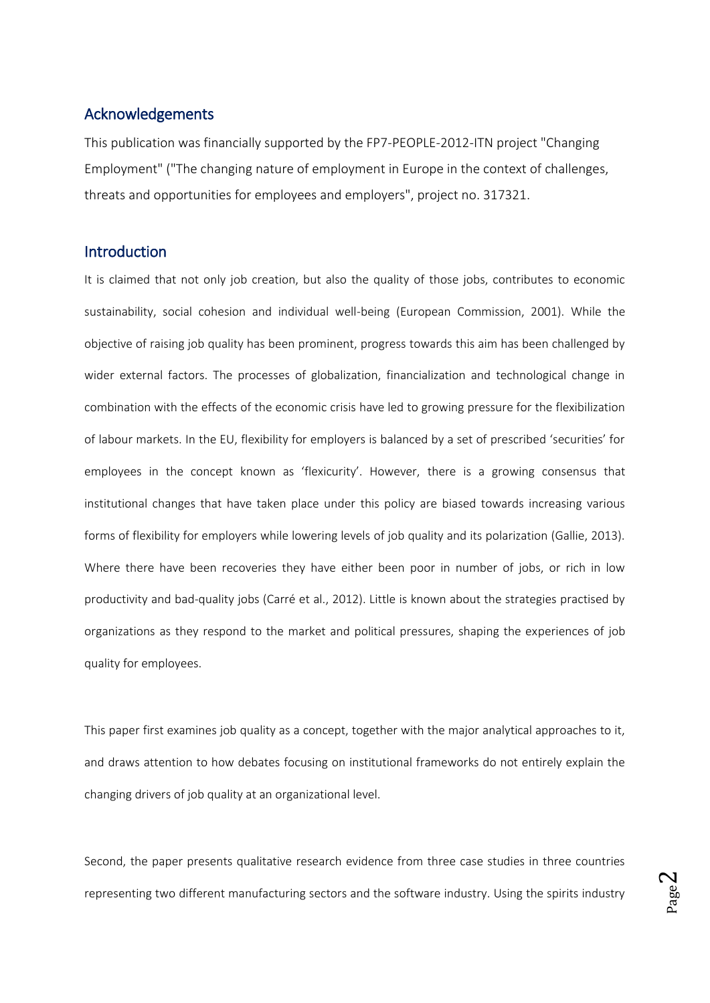## Acknowledgements

This publication was financially supported by the FP7-PEOPLE-2012-ITN project "Changing Employment" ("The changing nature of employment in Europe in the context of challenges, threats and opportunities for employees and employers", project no. 317321.

## **Introduction**

It is claimed that not only job creation, but also the quality of those jobs, contributes to economic sustainability, social cohesion and individual well-being (European Commission, 2001). While the objective of raising job quality has been prominent, progress towards this aim has been challenged by wider external factors. The processes of globalization, financialization and technological change in combination with the effects of the economic crisis have led to growing pressure for the flexibilization of labour markets. In the EU, flexibility for employers is balanced by a set of prescribed 'securities' for employees in the concept known as 'flexicurity'. However, there is a growing consensus that institutional changes that have taken place under this policy are biased towards increasing various forms of flexibility for employers while lowering levels of job quality and its polarization (Gallie, 2013). Where there have been recoveries they have either been poor in number of jobs, or rich in low productivity and bad-quality jobs (Carré et al., 2012). Little is known about the strategies practised by organizations as they respond to the market and political pressures, shaping the experiences of job quality for employees.

This paper first examines job quality as a concept, together with the major analytical approaches to it, and draws attention to how debates focusing on institutional frameworks do not entirely explain the changing drivers of job quality at an organizational level.

Second, the paper presents qualitative research evidence from three case studies in three countries representing two different manufacturing sectors and the software industry. Using the spirits industry

Page  $\boldsymbol{\sim}$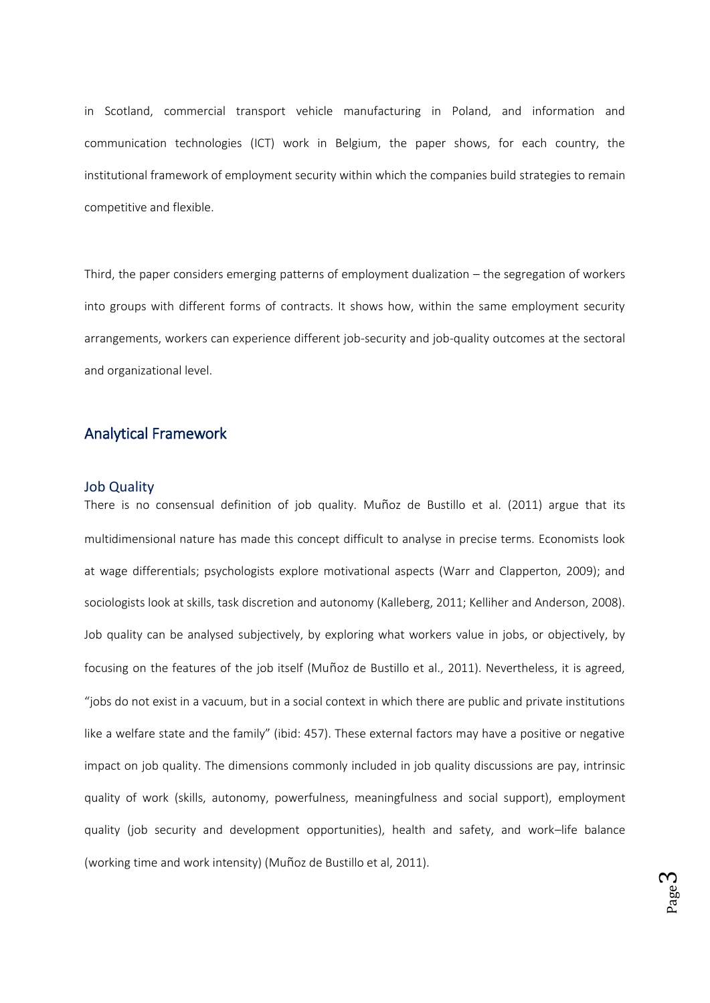in Scotland, commercial transport vehicle manufacturing in Poland, and information and communication technologies (ICT) work in Belgium, the paper shows, for each country, the institutional framework of employment security within which the companies build strategies to remain competitive and flexible.

Third, the paper considers emerging patterns of employment dualization – the segregation of workers into groups with different forms of contracts. It shows how, within the same employment security arrangements, workers can experience different job-security and job-quality outcomes at the sectoral and organizational level.

## Analytical Framework

#### Job Quality

There is no consensual definition of job quality. Muñoz de Bustillo et al. (2011) argue that its multidimensional nature has made this concept difficult to analyse in precise terms. Economists look at wage differentials; psychologists explore motivational aspects (Warr and Clapperton, 2009); and sociologists look at skills, task discretion and autonomy (Kalleberg, 2011; Kelliher and Anderson, 2008). Job quality can be analysed subjectively, by exploring what workers value in jobs, or objectively, by focusing on the features of the job itself (Muñoz de Bustillo et al., 2011). Nevertheless, it is agreed, "jobs do not exist in a vacuum, but in a social context in which there are public and private institutions like a welfare state and the family" (ibid: 457). These external factors may have a positive or negative impact on job quality. The dimensions commonly included in job quality discussions are pay, intrinsic quality of work (skills, autonomy, powerfulness, meaningfulness and social support), employment quality (job security and development opportunities), health and safety, and work–life balance (working time and work intensity) (Muñoz de Bustillo et al, 2011).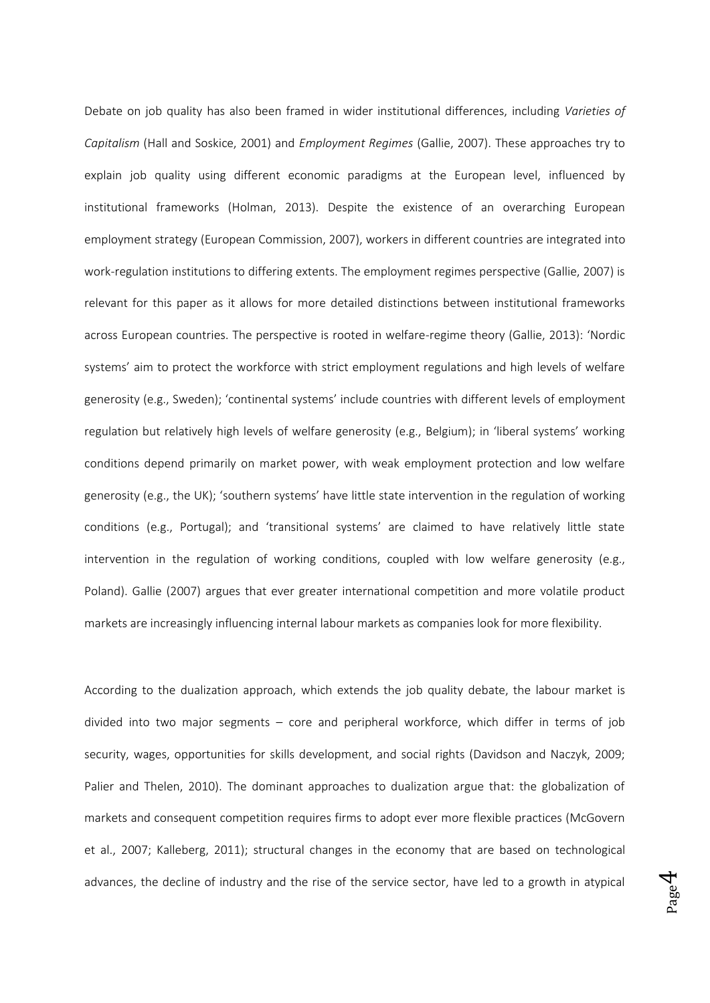Debate on job quality has also been framed in wider institutional differences, including *Varieties of Capitalism* (Hall and Soskice, 2001) and *Employment Regimes* (Gallie, 2007). These approaches try to explain job quality using different economic paradigms at the European level, influenced by institutional frameworks (Holman, 2013). Despite the existence of an overarching European employment strategy (European Commission, 2007), workers in different countries are integrated into work-regulation institutions to differing extents. The employment regimes perspective (Gallie, 2007) is relevant for this paper as it allows for more detailed distinctions between institutional frameworks across European countries. The perspective is rooted in welfare-regime theory (Gallie, 2013): 'Nordic systems' aim to protect the workforce with strict employment regulations and high levels of welfare generosity (e.g., Sweden); 'continental systems' include countries with different levels of employment regulation but relatively high levels of welfare generosity (e.g., Belgium); in 'liberal systems' working conditions depend primarily on market power, with weak employment protection and low welfare generosity (e.g., the UK); 'southern systems' have little state intervention in the regulation of working conditions (e.g., Portugal); and 'transitional systems' are claimed to have relatively little state intervention in the regulation of working conditions, coupled with low welfare generosity (e.g., Poland). Gallie (2007) argues that ever greater international competition and more volatile product markets are increasingly influencing internal labour markets as companies look for more flexibility.

According to the dualization approach, which extends the job quality debate, the labour market is divided into two major segments – core and peripheral workforce, which differ in terms of job security, wages, opportunities for skills development, and social rights (Davidson and Naczyk, 2009; Palier and Thelen, 2010). The dominant approaches to dualization argue that: the globalization of markets and consequent competition requires firms to adopt ever more flexible practices (McGovern et al., 2007; Kalleberg, 2011); structural changes in the economy that are based on technological advances, the decline of industry and the rise of the service sector, have led to a growth in atypical

Page 4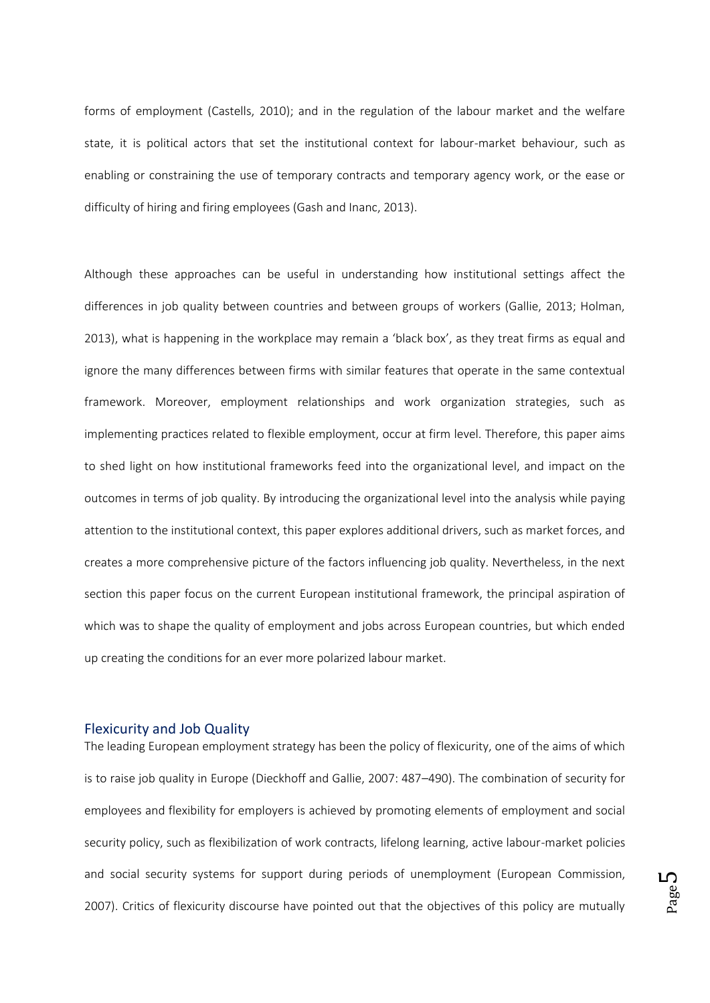forms of employment (Castells, 2010); and in the regulation of the labour market and the welfare state, it is political actors that set the institutional context for labour-market behaviour, such as enabling or constraining the use of temporary contracts and temporary agency work, or the ease or difficulty of hiring and firing employees (Gash and Inanc, 2013).

Although these approaches can be useful in understanding how institutional settings affect the differences in job quality between countries and between groups of workers (Gallie, 2013; Holman, 2013), what is happening in the workplace may remain a 'black box', as they treat firms as equal and ignore the many differences between firms with similar features that operate in the same contextual framework. Moreover, employment relationships and work organization strategies, such as implementing practices related to flexible employment, occur at firm level. Therefore, this paper aims to shed light on how institutional frameworks feed into the organizational level, and impact on the outcomes in terms of job quality. By introducing the organizational level into the analysis while paying attention to the institutional context, this paper explores additional drivers, such as market forces, and creates a more comprehensive picture of the factors influencing job quality. Nevertheless, in the next section this paper focus on the current European institutional framework, the principal aspiration of which was to shape the quality of employment and jobs across European countries, but which ended up creating the conditions for an ever more polarized labour market.

#### Flexicurity and Job Quality

The leading European employment strategy has been the policy of flexicurity, one of the aims of which is to raise job quality in Europe (Dieckhoff and Gallie, 2007: 487–490). The combination of security for employees and flexibility for employers is achieved by promoting elements of employment and social security policy, such as flexibilization of work contracts, lifelong learning, active labour-market policies and social security systems for support during periods of unemployment (European Commission, 2007). Critics of flexicurity discourse have pointed out that the objectives of this policy are mutually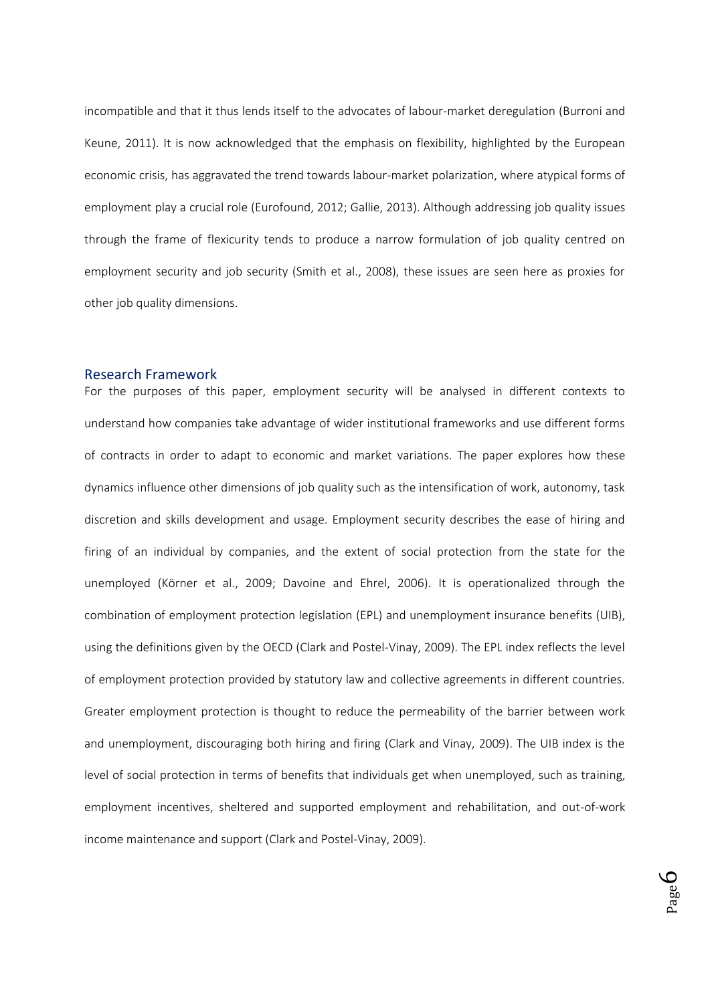incompatible and that it thus lends itself to the advocates of labour-market deregulation (Burroni and Keune, 2011). It is now acknowledged that the emphasis on flexibility, highlighted by the European economic crisis, has aggravated the trend towards labour-market polarization, where atypical forms of employment play a crucial role (Eurofound, 2012; Gallie, 2013). Although addressing job quality issues through the frame of flexicurity tends to produce a narrow formulation of job quality centred on employment security and job security (Smith et al., 2008), these issues are seen here as proxies for other job quality dimensions.

#### Research Framework

For the purposes of this paper, employment security will be analysed in different contexts to understand how companies take advantage of wider institutional frameworks and use different forms of contracts in order to adapt to economic and market variations. The paper explores how these dynamics influence other dimensions of job quality such as the intensification of work, autonomy, task discretion and skills development and usage. Employment security describes the ease of hiring and firing of an individual by companies, and the extent of social protection from the state for the unemployed (Körner et al., 2009; Davoine and Ehrel, 2006). It is operationalized through the combination of employment protection legislation (EPL) and unemployment insurance benefits (UIB), using the definitions given by the OECD (Clark and Postel-Vinay, 2009). The EPL index reflects the level of employment protection provided by statutory law and collective agreements in different countries. Greater employment protection is thought to reduce the permeability of the barrier between work and unemployment, discouraging both hiring and firing (Clark and Vinay, 2009). The UIB index is the level of social protection in terms of benefits that individuals get when unemployed, such as training, employment incentives, sheltered and supported employment and rehabilitation, and out-of-work income maintenance and support (Clark and Postel-Vinay, 2009).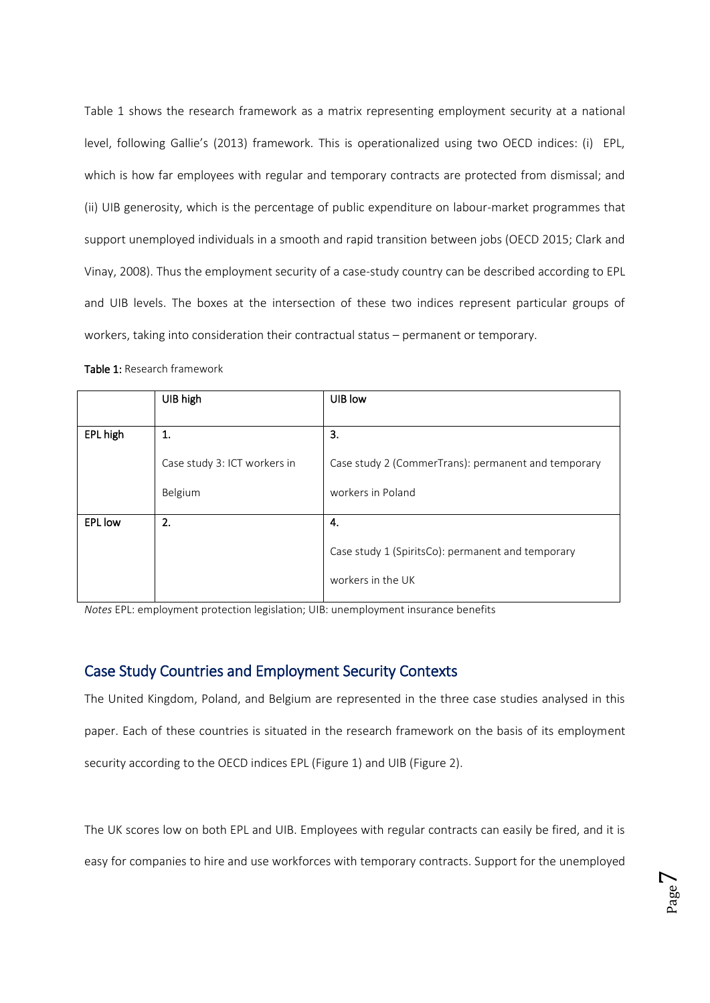Table 1 shows the research framework as a matrix representing employment security at a national level, following Gallie's (2013) framework. This is operationalized using two OECD indices: (i) EPL, which is how far employees with regular and temporary contracts are protected from dismissal; and (ii) UIB generosity, which is the percentage of public expenditure on labour-market programmes that support unemployed individuals in a smooth and rapid transition between jobs (OECD 2015; Clark and Vinay, 2008). Thus the employment security of a case-study country can be described according to EPL and UIB levels. The boxes at the intersection of these two indices represent particular groups of workers, taking into consideration their contractual status – permanent or temporary.

|                | UIB high                     | UIB low                                             |
|----------------|------------------------------|-----------------------------------------------------|
|                |                              |                                                     |
| EPL high       | 1.                           | 3.                                                  |
|                |                              |                                                     |
|                | Case study 3: ICT workers in | Case study 2 (CommerTrans): permanent and temporary |
|                |                              |                                                     |
|                | Belgium                      | workers in Poland                                   |
| <b>EPL</b> low | 2.                           | 4.                                                  |
|                |                              |                                                     |
|                |                              | Case study 1 (SpiritsCo): permanent and temporary   |
|                |                              | workers in the UK                                   |

Table 1: Research framework

*Notes* EPL: employment protection legislation; UIB: unemployment insurance benefits

## Case Study Countries and Employment Security Contexts

The United Kingdom, Poland, and Belgium are represented in the three case studies analysed in this paper. Each of these countries is situated in the research framework on the basis of its employment security according to the OECD indices EPL (Figure 1) and UIB (Figure 2).

The UK scores low on both EPL and UIB. Employees with regular contracts can easily be fired, and it is easy for companies to hire and use workforces with temporary contracts. Support for the unemployed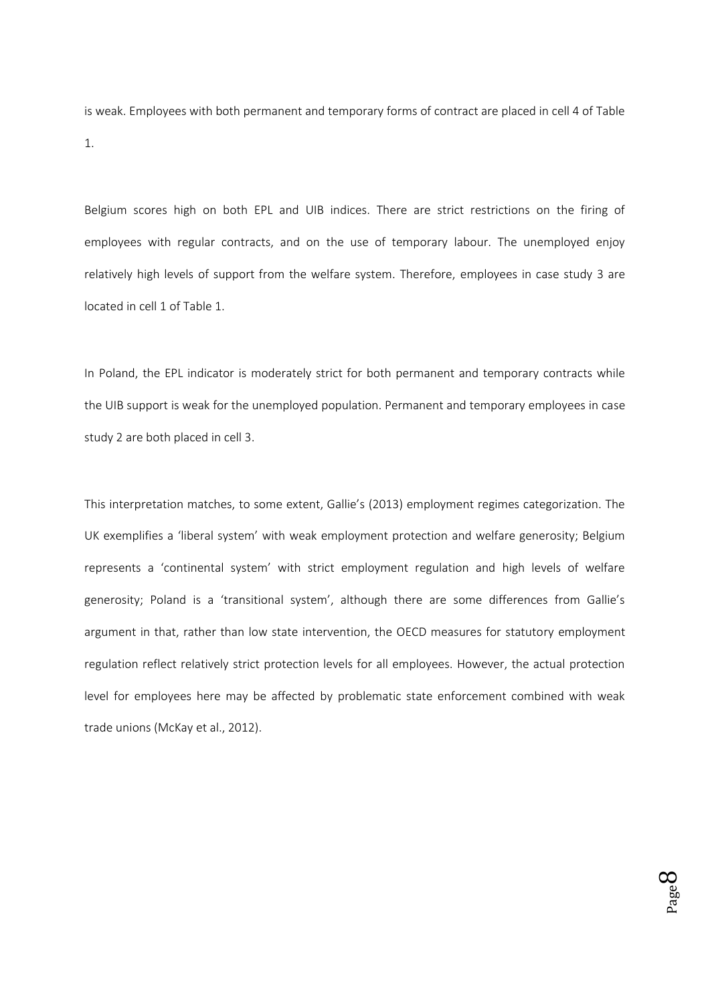is weak. Employees with both permanent and temporary forms of contract are placed in cell 4 of Table 1.

Belgium scores high on both EPL and UIB indices. There are strict restrictions on the firing of employees with regular contracts, and on the use of temporary labour. The unemployed enjoy relatively high levels of support from the welfare system. Therefore, employees in case study 3 are located in cell 1 of Table 1.

In Poland, the EPL indicator is moderately strict for both permanent and temporary contracts while the UIB support is weak for the unemployed population. Permanent and temporary employees in case study 2 are both placed in cell 3.

This interpretation matches, to some extent, Gallie's (2013) employment regimes categorization. The UK exemplifies a 'liberal system' with weak employment protection and welfare generosity; Belgium represents a 'continental system' with strict employment regulation and high levels of welfare generosity; Poland is a 'transitional system', although there are some differences from Gallie's argument in that, rather than low state intervention, the OECD measures for statutory employment regulation reflect relatively strict protection levels for all employees. However, the actual protection level for employees here may be affected by problematic state enforcement combined with weak trade unions (McKay et al., 2012).

> Page  $\infty$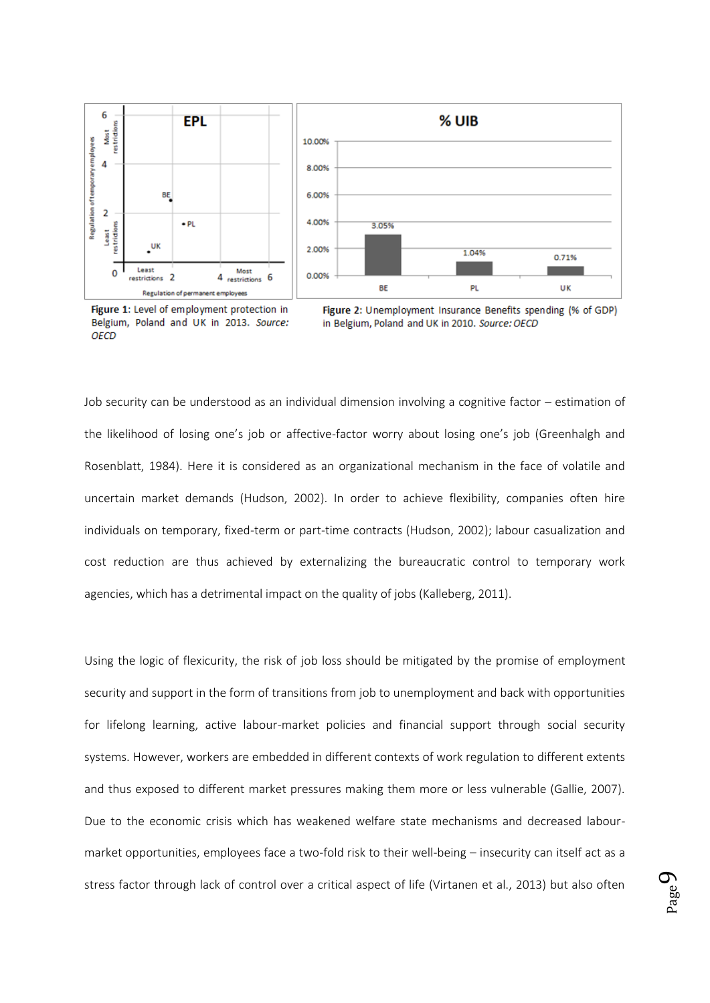

Figure 1: Level of employment protection in Belgium, Poland and UK in 2013. Source: OFCD



Job security can be understood as an individual dimension involving a cognitive factor – estimation of the likelihood of losing one's job or affective-factor worry about losing one's job (Greenhalgh and Rosenblatt, 1984). Here it is considered as an organizational mechanism in the face of volatile and uncertain market demands (Hudson, 2002). In order to achieve flexibility, companies often hire individuals on temporary, fixed-term or part-time contracts (Hudson, 2002); labour casualization and cost reduction are thus achieved by externalizing the bureaucratic control to temporary work agencies, which has a detrimental impact on the quality of jobs (Kalleberg, 2011).

Using the logic of flexicurity, the risk of job loss should be mitigated by the promise of employment security and support in the form of transitions from job to unemployment and back with opportunities for lifelong learning, active labour-market policies and financial support through social security systems. However, workers are embedded in different contexts of work regulation to different extents and thus exposed to different market pressures making them more or less vulnerable (Gallie, 2007). Due to the economic crisis which has weakened welfare state mechanisms and decreased labourmarket opportunities, employees face a two-fold risk to their well-being – insecurity can itself act as a stress factor through lack of control over a critical aspect of life (Virtanen et al., 2013) but also often

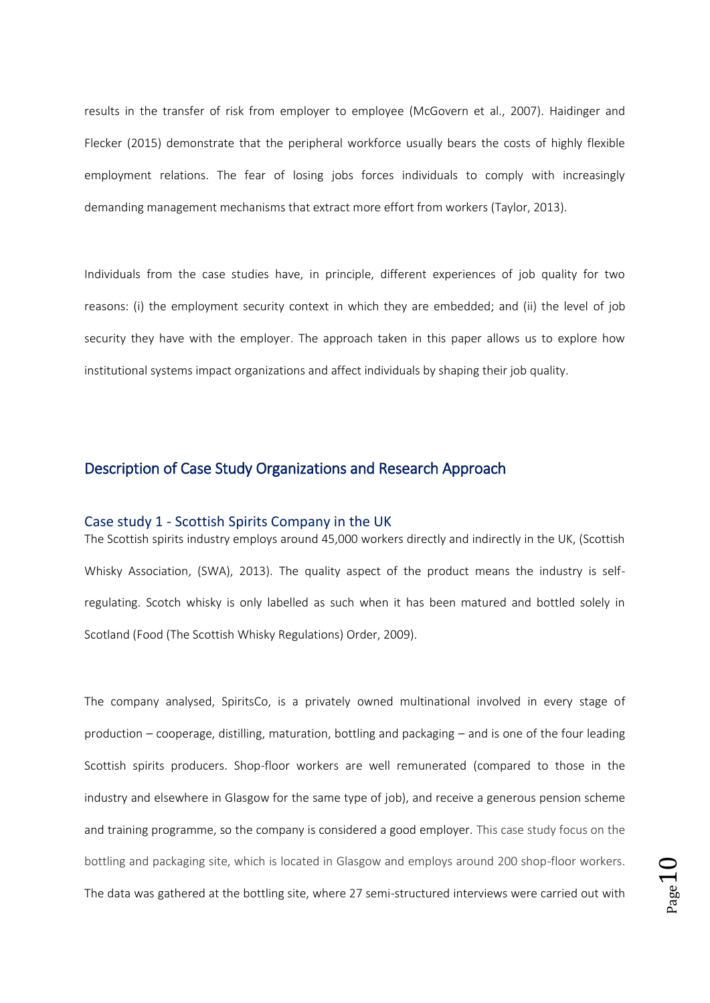results in the transfer of risk from employer to employee (McGovern et al., 2007). Haidinger and Flecker (2015) demonstrate that the peripheral workforce usually bears the costs of highly flexible employment relations. The fear of losing jobs forces individuals to comply with increasingly demanding management mechanisms that extract more effort from workers (Taylor, 2013).

Individuals from the case studies have, in principle, different experiences of job quality for two reasons: (i) the employment security context in which they are embedded; and (ii) the level of job security they have with the employer. The approach taken in this paper allows us to explore how institutional systems impact organizations and affect individuals by shaping their job quality.

## Description of Case Study Organizations and Research Approach

#### Case study 1 - Scottish Spirits Company in the UK

The Scottish spirits industry employs around 45,000 workers directly and indirectly in the UK, (Scottish Whisky Association, (SWA), 2013). The quality aspect of the product means the industry is selfregulating. Scotch whisky is only labelled as such when it has been matured and bottled solely in Scotland (Food (The Scottish Whisky Regulations) Order, 2009).

The company analysed, SpiritsCo, is a privately owned multinational involved in every stage of production – cooperage, distilling, maturation, bottling and packaging – and is one of the four leading Scottish spirits producers. Shop-floor workers are well remunerated (compared to those in the industry and elsewhere in Glasgow for the same type of job), and receive a generous pension scheme and training programme, so the company is considered a good employer. This case study focus on the bottling and packaging site, which is located in Glasgow and employs around 200 shop-floor workers. The data was gathered at the bottling site, where 27 semi-structured interviews were carried out with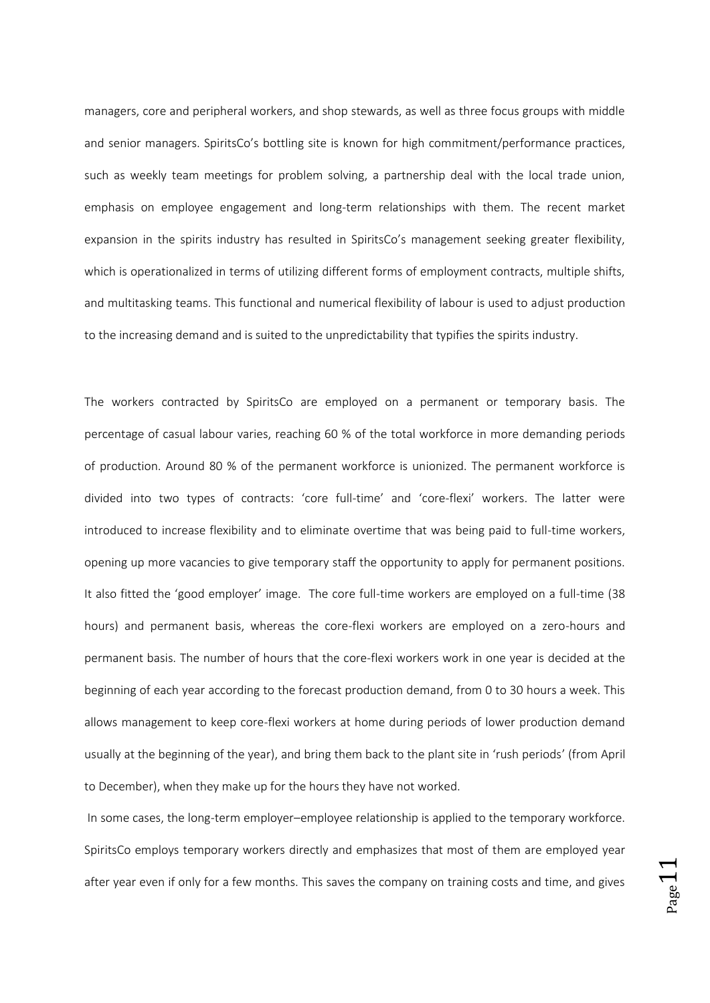managers, core and peripheral workers, and shop stewards, as well as three focus groups with middle and senior managers. SpiritsCo's bottling site is known for high commitment/performance practices, such as weekly team meetings for problem solving, a partnership deal with the local trade union, emphasis on employee engagement and long-term relationships with them. The recent market expansion in the spirits industry has resulted in SpiritsCo's management seeking greater flexibility, which is operationalized in terms of utilizing different forms of employment contracts, multiple shifts, and multitasking teams. This functional and numerical flexibility of labour is used to adjust production to the increasing demand and is suited to the unpredictability that typifies the spirits industry.

The workers contracted by SpiritsCo are employed on a permanent or temporary basis. The percentage of casual labour varies, reaching 60 % of the total workforce in more demanding periods of production. Around 80 % of the permanent workforce is unionized. The permanent workforce is divided into two types of contracts: 'core full-time' and 'core-flexi' workers. The latter were introduced to increase flexibility and to eliminate overtime that was being paid to full-time workers, opening up more vacancies to give temporary staff the opportunity to apply for permanent positions. It also fitted the 'good employer' image. The core full-time workers are employed on a full-time (38 hours) and permanent basis, whereas the core-flexi workers are employed on a zero-hours and permanent basis. The number of hours that the core-flexi workers work in one year is decided at the beginning of each year according to the forecast production demand, from 0 to 30 hours a week. This allows management to keep core-flexi workers at home during periods of lower production demand usually at the beginning of the year), and bring them back to the plant site in 'rush periods' (from April to December), when they make up for the hours they have not worked.

In some cases, the long-term employer–employee relationship is applied to the temporary workforce. SpiritsCo employs temporary workers directly and emphasizes that most of them are employed year after year even if only for a few months. This saves the company on training costs and time, and gives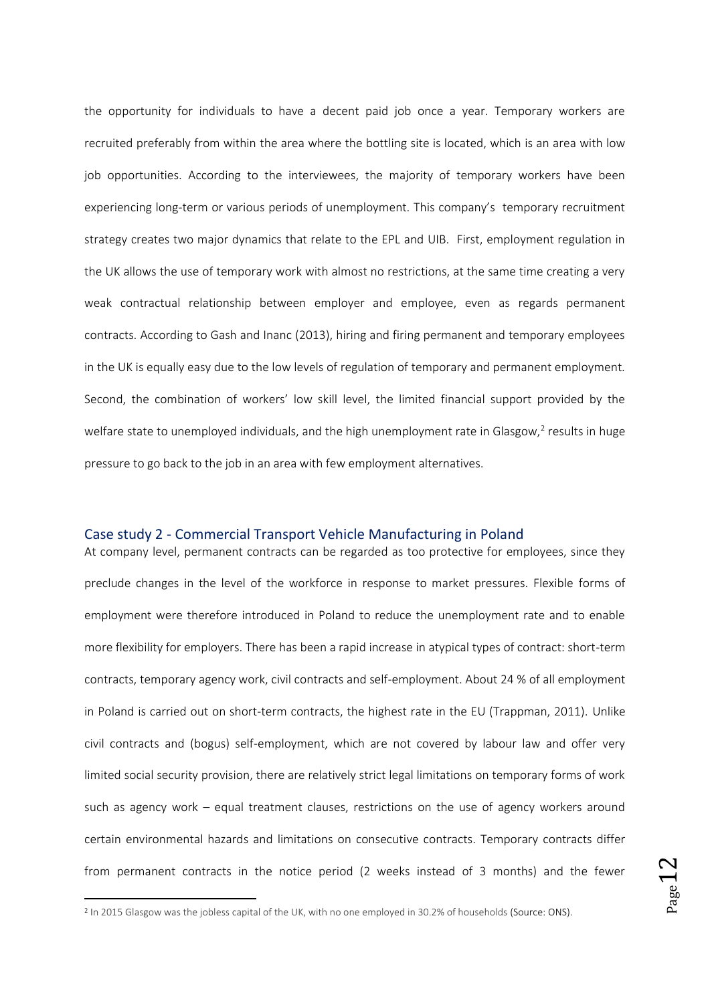the opportunity for individuals to have a decent paid job once a year. Temporary workers are recruited preferably from within the area where the bottling site is located, which is an area with low job opportunities. According to the interviewees, the majority of temporary workers have been experiencing long-term or various periods of unemployment. This company's temporary recruitment strategy creates two major dynamics that relate to the EPL and UIB. First, employment regulation in the UK allows the use of temporary work with almost no restrictions, at the same time creating a very weak contractual relationship between employer and employee, even as regards permanent contracts. According to Gash and Inanc (2013), hiring and firing permanent and temporary employees in the UK is equally easy due to the low levels of regulation of temporary and permanent employment. Second, the combination of workers' low skill level, the limited financial support provided by the welfare state to unemployed individuals, and the high unemployment rate in Glasgow,<sup>2</sup> results in huge pressure to go back to the job in an area with few employment alternatives.

#### Case study 2 - Commercial Transport Vehicle Manufacturing in Poland

At company level, permanent contracts can be regarded as too protective for employees, since they preclude changes in the level of the workforce in response to market pressures. Flexible forms of employment were therefore introduced in Poland to reduce the unemployment rate and to enable more flexibility for employers. There has been a rapid increase in atypical types of contract: short-term contracts, temporary agency work, civil contracts and self-employment. About 24 % of all employment in Poland is carried out on short-term contracts, the highest rate in the EU (Trappman, 2011). Unlike civil contracts and (bogus) self-employment, which are not covered by labour law and offer very limited social security provision, there are relatively strict legal limitations on temporary forms of work such as agency work – equal treatment clauses, restrictions on the use of agency workers around certain environmental hazards and limitations on consecutive contracts. Temporary contracts differ from permanent contracts in the notice period (2 weeks instead of 3 months) and the fewer

**.** 

<sup>&</sup>lt;sup>2</sup> In 2015 Glasgow was the jobless capital of the UK, with no one employed in 30.2% of households (Source: ONS).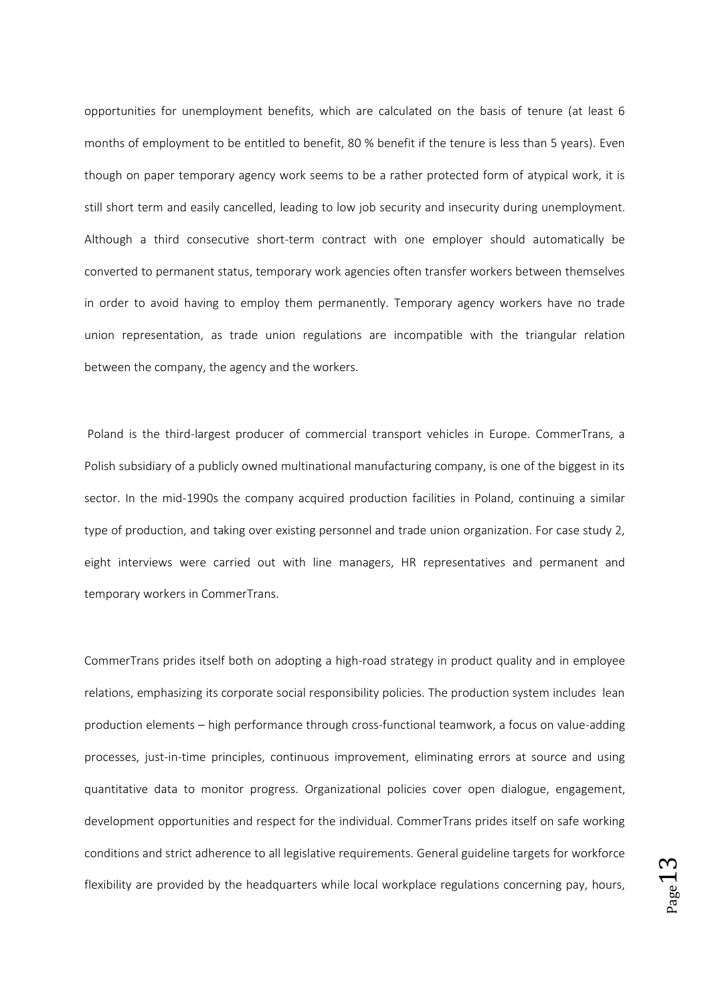opportunities for unemployment benefits, which are calculated on the basis of tenure (at least 6 months of employment to be entitled to benefit, 80 % benefit if the tenure is less than 5 years). Even though on paper temporary agency work seems to be a rather protected form of atypical work, it is still short term and easily cancelled, leading to low job security and insecurity during unemployment. Although a third consecutive short-term contract with one employer should automatically be converted to permanent status, temporary work agencies often transfer workers between themselves in order to avoid having to employ them permanently. Temporary agency workers have no trade union representation, as trade union regulations are incompatible with the triangular relation between the company, the agency and the workers.

Poland is the third-largest producer of commercial transport vehicles in Europe. CommerTrans, a Polish subsidiary of a publicly owned multinational manufacturing company, is one of the biggest in its sector. In the mid-1990s the company acquired production facilities in Poland, continuing a similar type of production, and taking over existing personnel and trade union organization. For case study 2, eight interviews were carried out with line managers, HR representatives and permanent and temporary workers in CommerTrans.

CommerTrans prides itself both on adopting a high-road strategy in product quality and in employee relations, emphasizing its corporate social responsibility policies. The production system includes lean production elements – high performance through cross-functional teamwork, a focus on value-adding processes, just-in-time principles, continuous improvement, eliminating errors at source and using quantitative data to monitor progress. Organizational policies cover open dialogue, engagement, development opportunities and respect for the individual. CommerTrans prides itself on safe working conditions and strict adherence to all legislative requirements. General guideline targets for workforce flexibility are provided by the headquarters while local workplace regulations concerning pay, hours,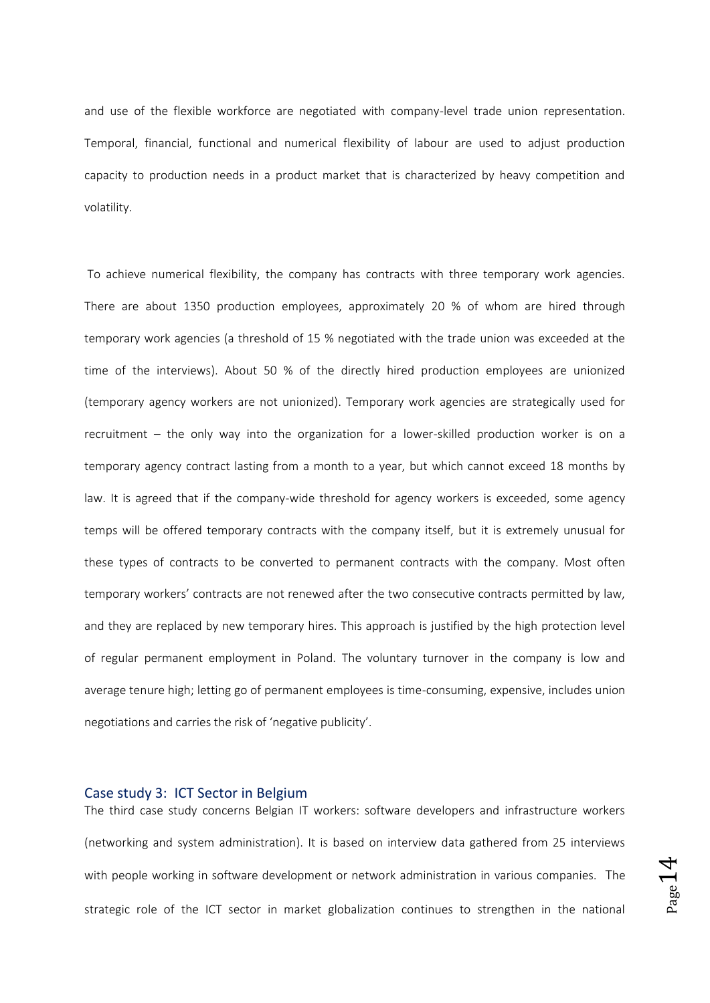and use of the flexible workforce are negotiated with company-level trade union representation. Temporal, financial, functional and numerical flexibility of labour are used to adjust production capacity to production needs in a product market that is characterized by heavy competition and volatility.

To achieve numerical flexibility, the company has contracts with three temporary work agencies. There are about 1350 production employees, approximately 20 % of whom are hired through temporary work agencies (a threshold of 15 % negotiated with the trade union was exceeded at the time of the interviews). About 50 % of the directly hired production employees are unionized (temporary agency workers are not unionized). Temporary work agencies are strategically used for recruitment – the only way into the organization for a lower-skilled production worker is on a temporary agency contract lasting from a month to a year, but which cannot exceed 18 months by law. It is agreed that if the company-wide threshold for agency workers is exceeded, some agency temps will be offered temporary contracts with the company itself, but it is extremely unusual for these types of contracts to be converted to permanent contracts with the company. Most often temporary workers' contracts are not renewed after the two consecutive contracts permitted by law, and they are replaced by new temporary hires. This approach is justified by the high protection level of regular permanent employment in Poland. The voluntary turnover in the company is low and average tenure high; letting go of permanent employees is time-consuming, expensive, includes union negotiations and carries the risk of 'negative publicity'.

#### Case study 3: ICT Sector in Belgium

The third case study concerns Belgian IT workers: software developers and infrastructure workers (networking and system administration). It is based on interview data gathered from 25 interviews with people working in software development or network administration in various companies. The strategic role of the ICT sector in market globalization continues to strengthen in the national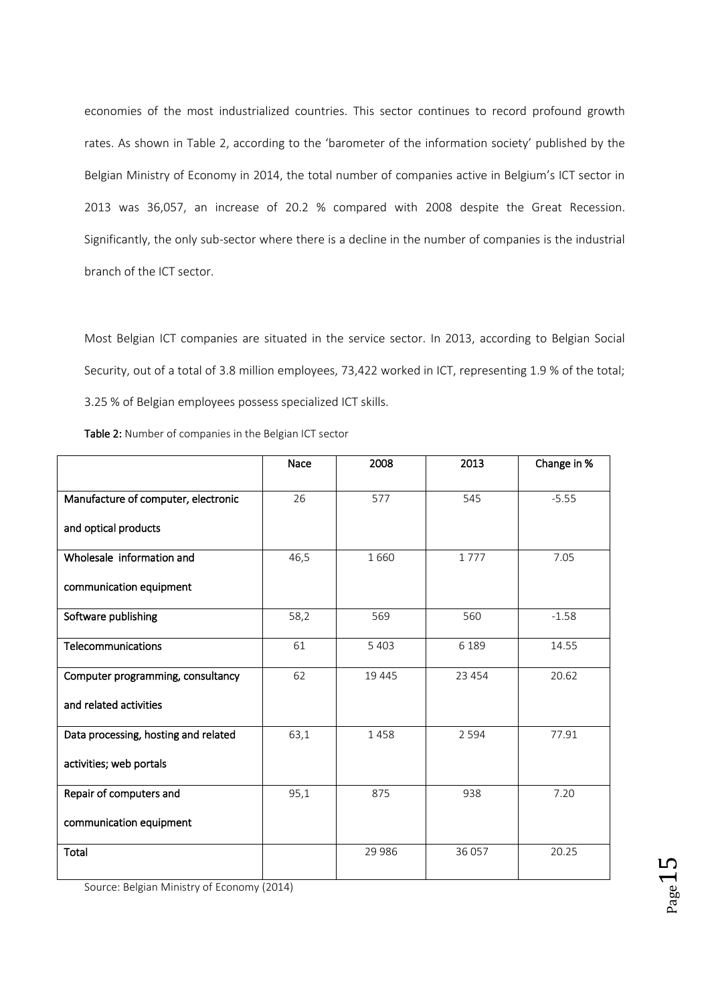economies of the most industrialized countries. This sector continues to record profound growth rates. As shown in Table 2, according to the 'barometer of the information society' published by the Belgian Ministry of Economy in 2014, the total number of companies active in Belgium's ICT sector in 2013 was 36,057, an increase of 20.2 % compared with 2008 despite the Great Recession. Significantly, the only sub-sector where there is a decline in the number of companies is the industrial branch of the ICT sector.

Most Belgian ICT companies are situated in the service sector. In 2013, according to Belgian Social Security, out of a total of 3.8 million employees, 73,422 worked in ICT, representing 1.9 % of the total; 3.25 % of Belgian employees possess specialized ICT skills.

|                                      | Nace | 2008    | 2013    | Change in % |
|--------------------------------------|------|---------|---------|-------------|
|                                      |      |         |         |             |
| Manufacture of computer, electronic  | 26   | 577     | 545     | $-5.55$     |
| and optical products                 |      |         |         |             |
| Wholesale information and            | 46,5 | 1660    | 1777    | 7.05        |
| communication equipment              |      |         |         |             |
| Software publishing                  | 58,2 | 569     | 560     | $-1.58$     |
| Telecommunications                   | 61   | 5 4 0 3 | 6 1 8 9 | 14.55       |
| Computer programming, consultancy    | 62   | 19 445  | 23 4 54 | 20.62       |
| and related activities               |      |         |         |             |
| Data processing, hosting and related | 63,1 | 1458    | 2 5 9 4 | 77.91       |
| activities; web portals              |      |         |         |             |
| Repair of computers and              | 95,1 | 875     | 938     | 7.20        |
| communication equipment              |      |         |         |             |
| Total                                |      | 29 9 86 | 36 057  | 20.25       |

Source: Belgian Ministry of Economy (2014)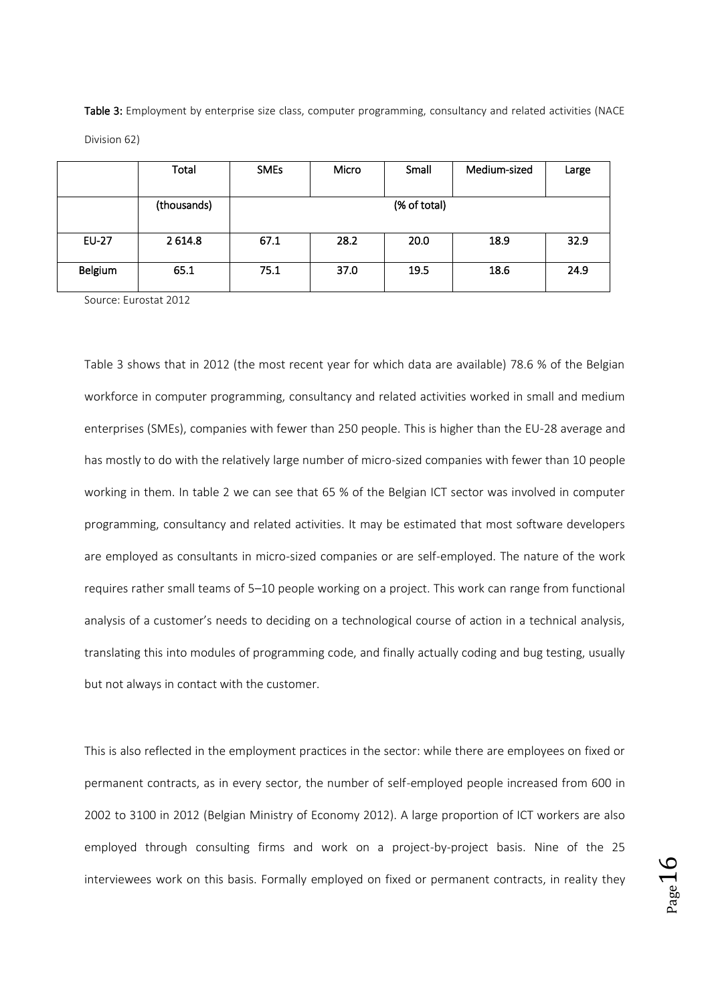Table 3: Employment by enterprise size class, computer programming, consultancy and related activities (NACE Division 62)

|              | Total       | <b>SMEs</b>  | Micro | Small | Medium-sized | Large |
|--------------|-------------|--------------|-------|-------|--------------|-------|
|              | (thousands) | (% of total) |       |       |              |       |
| <b>EU-27</b> | 2 6 14.8    | 67.1         | 28.2  | 20.0  | 18.9         | 32.9  |
| Belgium      | 65.1        | 75.1         | 37.0  | 19.5  | 18.6         | 24.9  |

Source: Eurostat 2012

Table 3 shows that in 2012 (the most recent year for which data are available) 78.6 % of the Belgian workforce in computer programming, consultancy and related activities worked in small and medium enterprises (SMEs), companies with fewer than 250 people. This is higher than the EU-28 average and has mostly to do with the relatively large number of micro-sized companies with fewer than 10 people working in them. In table 2 we can see that 65 % of the Belgian ICT sector was involved in computer programming, consultancy and related activities. It may be estimated that most software developers are employed as consultants in micro-sized companies or are self-employed. The nature of the work requires rather small teams of 5–10 people working on a project. This work can range from functional analysis of a customer's needs to deciding on a technological course of action in a technical analysis, translating this into modules of programming code, and finally actually coding and bug testing, usually but not always in contact with the customer.

This is also reflected in the employment practices in the sector: while there are employees on fixed or permanent contracts, as in every sector, the number of self-employed people increased from 600 in 2002 to 3100 in 2012 (Belgian Ministry of Economy 2012). A large proportion of ICT workers are also employed through consulting firms and work on a project-by-project basis. Nine of the 25 interviewees work on this basis. Formally employed on fixed or permanent contracts, in reality they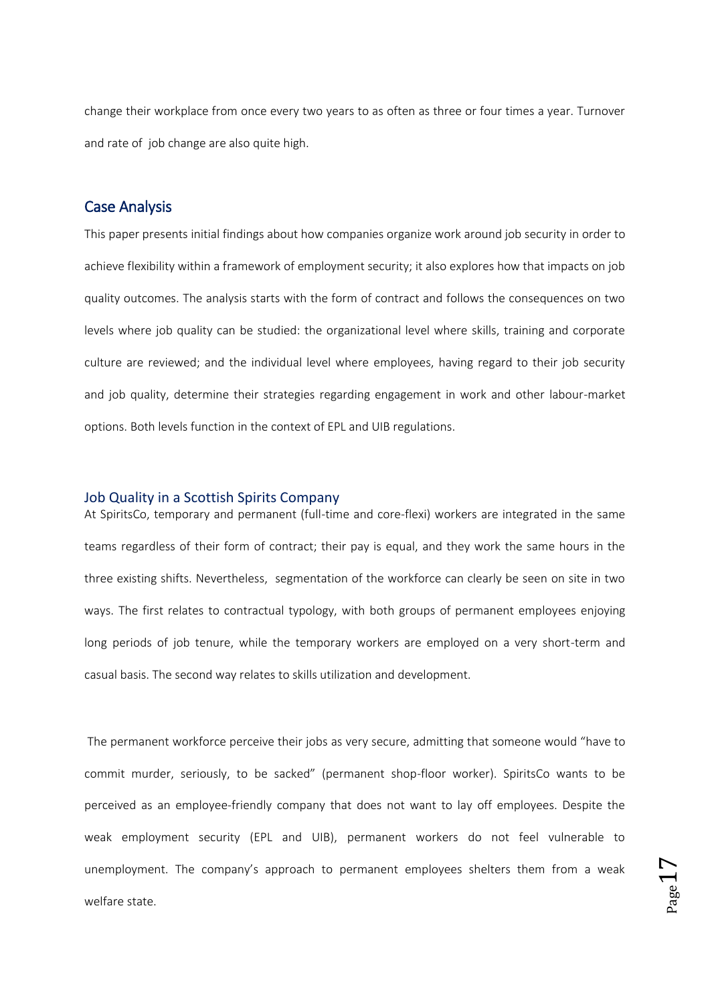change their workplace from once every two years to as often as three or four times a year. Turnover and rate of job change are also quite high.

### Case Analysis

This paper presents initial findings about how companies organize work around job security in order to achieve flexibility within a framework of employment security; it also explores how that impacts on job quality outcomes. The analysis starts with the form of contract and follows the consequences on two levels where job quality can be studied: the organizational level where skills, training and corporate culture are reviewed; and the individual level where employees, having regard to their job security and job quality, determine their strategies regarding engagement in work and other labour-market options. Both levels function in the context of EPL and UIB regulations.

#### Job Quality in a Scottish Spirits Company

At SpiritsCo, temporary and permanent (full-time and core-flexi) workers are integrated in the same teams regardless of their form of contract; their pay is equal, and they work the same hours in the three existing shifts. Nevertheless, segmentation of the workforce can clearly be seen on site in two ways. The first relates to contractual typology, with both groups of permanent employees enjoying long periods of job tenure, while the temporary workers are employed on a very short-term and casual basis. The second way relates to skills utilization and development.

The permanent workforce perceive their jobs as very secure, admitting that someone would "have to commit murder, seriously, to be sacked" (permanent shop-floor worker). SpiritsCo wants to be perceived as an employee-friendly company that does not want to lay off employees. Despite the weak employment security (EPL and UIB), permanent workers do not feel vulnerable to unemployment. The company's approach to permanent employees shelters them from a weak welfare state.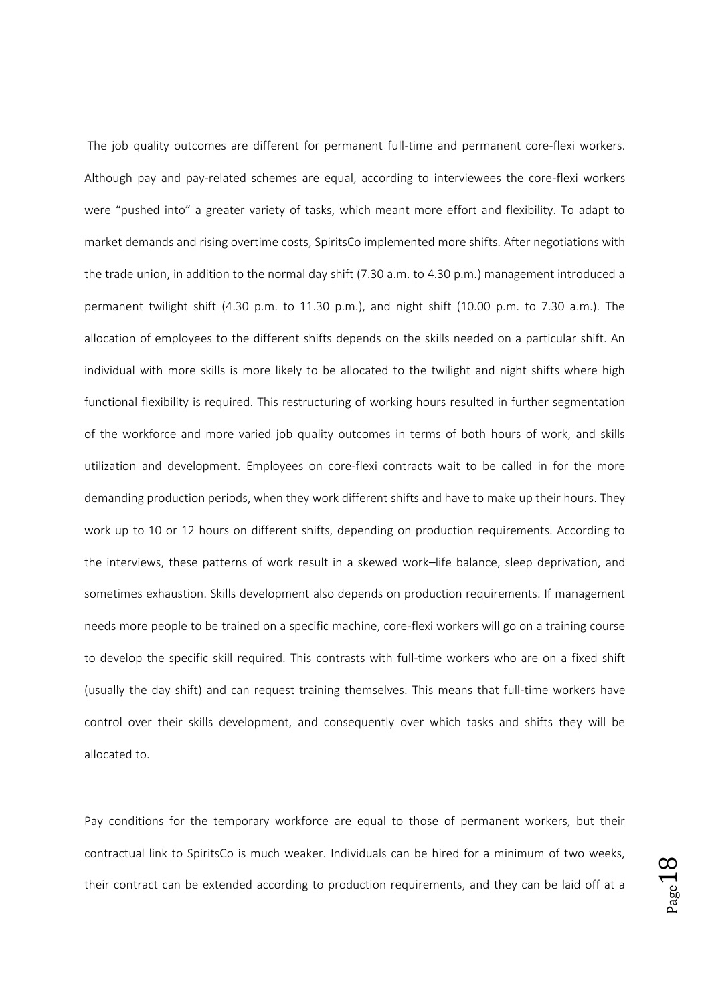The job quality outcomes are different for permanent full-time and permanent core-flexi workers. Although pay and pay-related schemes are equal, according to interviewees the core-flexi workers were "pushed into" a greater variety of tasks, which meant more effort and flexibility. To adapt to market demands and rising overtime costs, SpiritsCo implemented more shifts. After negotiations with the trade union, in addition to the normal day shift (7.30 a.m. to 4.30 p.m.) management introduced a permanent twilight shift (4.30 p.m. to 11.30 p.m.), and night shift (10.00 p.m. to 7.30 a.m.). The allocation of employees to the different shifts depends on the skills needed on a particular shift. An individual with more skills is more likely to be allocated to the twilight and night shifts where high functional flexibility is required. This restructuring of working hours resulted in further segmentation of the workforce and more varied job quality outcomes in terms of both hours of work, and skills utilization and development. Employees on core-flexi contracts wait to be called in for the more demanding production periods, when they work different shifts and have to make up their hours. They work up to 10 or 12 hours on different shifts, depending on production requirements. According to the interviews, these patterns of work result in a skewed work–life balance, sleep deprivation, and sometimes exhaustion. Skills development also depends on production requirements. If management needs more people to be trained on a specific machine, core-flexi workers will go on a training course to develop the specific skill required. This contrasts with full-time workers who are on a fixed shift (usually the day shift) and can request training themselves. This means that full-time workers have control over their skills development, and consequently over which tasks and shifts they will be allocated to.

Pay conditions for the temporary workforce are equal to those of permanent workers, but their contractual link to SpiritsCo is much weaker. Individuals can be hired for a minimum of two weeks, their contract can be extended according to production requirements, and they can be laid off at a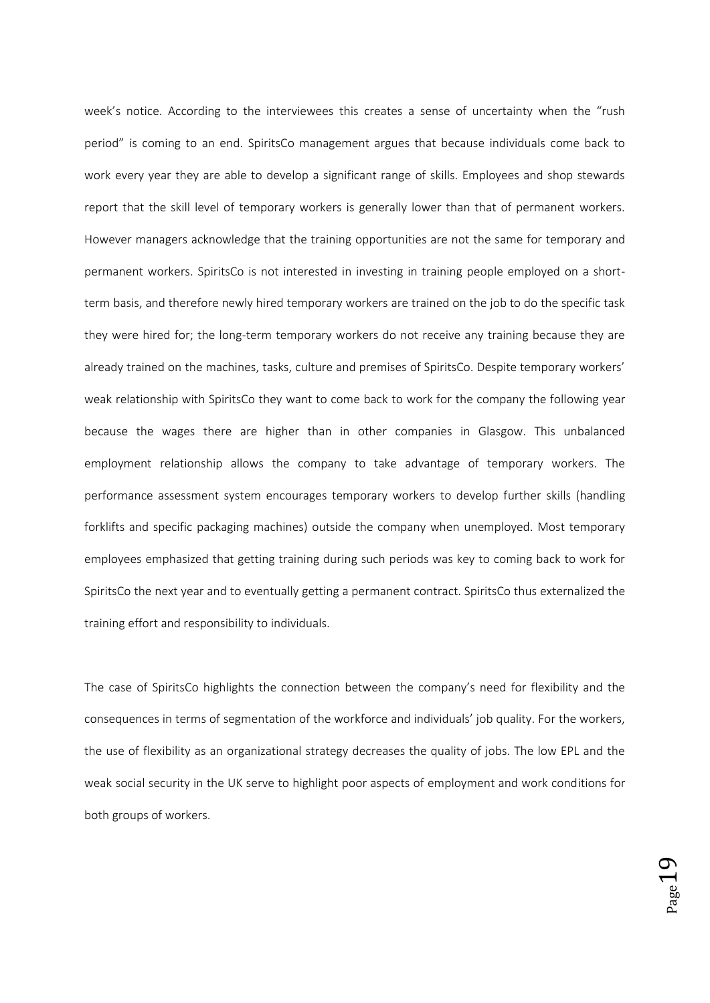week's notice. According to the interviewees this creates a sense of uncertainty when the "rush period" is coming to an end. SpiritsCo management argues that because individuals come back to work every year they are able to develop a significant range of skills. Employees and shop stewards report that the skill level of temporary workers is generally lower than that of permanent workers. However managers acknowledge that the training opportunities are not the same for temporary and permanent workers. SpiritsCo is not interested in investing in training people employed on a shortterm basis, and therefore newly hired temporary workers are trained on the job to do the specific task they were hired for; the long-term temporary workers do not receive any training because they are already trained on the machines, tasks, culture and premises of SpiritsCo. Despite temporary workers' weak relationship with SpiritsCo they want to come back to work for the company the following year because the wages there are higher than in other companies in Glasgow. This unbalanced employment relationship allows the company to take advantage of temporary workers. The performance assessment system encourages temporary workers to develop further skills (handling forklifts and specific packaging machines) outside the company when unemployed. Most temporary employees emphasized that getting training during such periods was key to coming back to work for SpiritsCo the next year and to eventually getting a permanent contract. SpiritsCo thus externalized the training effort and responsibility to individuals.

The case of SpiritsCo highlights the connection between the company's need for flexibility and the consequences in terms of segmentation of the workforce and individuals' job quality. For the workers, the use of flexibility as an organizational strategy decreases the quality of jobs. The low EPL and the weak social security in the UK serve to highlight poor aspects of employment and work conditions for both groups of workers.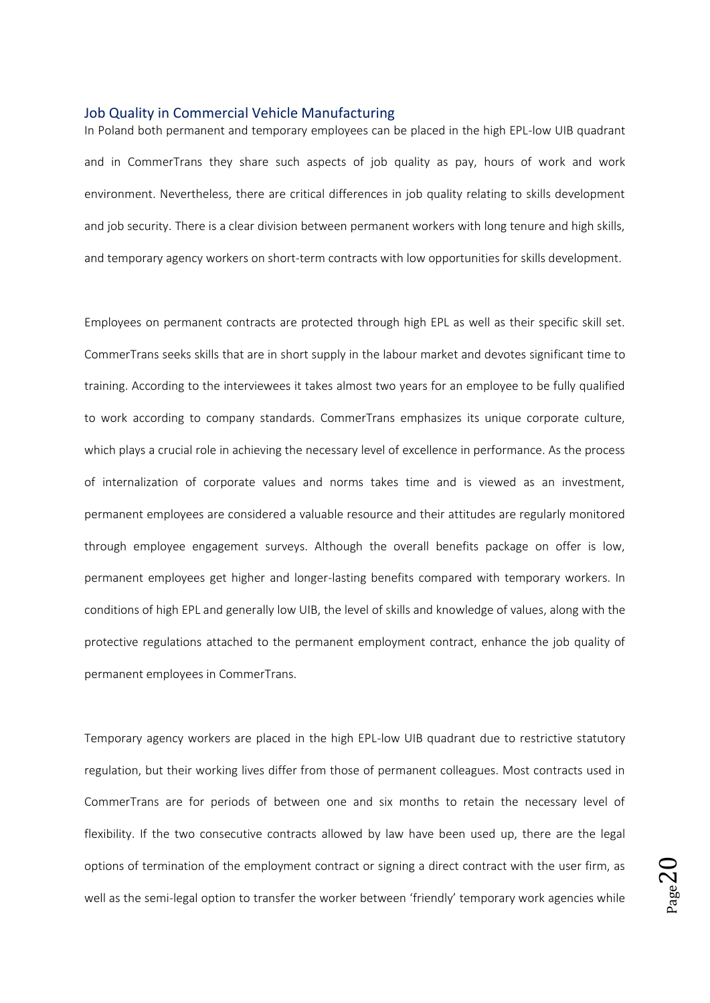#### Job Quality in Commercial Vehicle Manufacturing

In Poland both permanent and temporary employees can be placed in the high EPL-low UIB quadrant and in CommerTrans they share such aspects of job quality as pay, hours of work and work environment. Nevertheless, there are critical differences in job quality relating to skills development and job security. There is a clear division between permanent workers with long tenure and high skills, and temporary agency workers on short-term contracts with low opportunities for skills development.

Employees on permanent contracts are protected through high EPL as well as their specific skill set. CommerTrans seeks skills that are in short supply in the labour market and devotes significant time to training. According to the interviewees it takes almost two years for an employee to be fully qualified to work according to company standards. CommerTrans emphasizes its unique corporate culture, which plays a crucial role in achieving the necessary level of excellence in performance. As the process of internalization of corporate values and norms takes time and is viewed as an investment, permanent employees are considered a valuable resource and their attitudes are regularly monitored through employee engagement surveys. Although the overall benefits package on offer is low, permanent employees get higher and longer-lasting benefits compared with temporary workers. In conditions of high EPL and generally low UIB, the level of skills and knowledge of values, along with the protective regulations attached to the permanent employment contract, enhance the job quality of permanent employees in CommerTrans.

Temporary agency workers are placed in the high EPL-low UIB quadrant due to restrictive statutory regulation, but their working lives differ from those of permanent colleagues. Most contracts used in CommerTrans are for periods of between one and six months to retain the necessary level of flexibility. If the two consecutive contracts allowed by law have been used up, there are the legal options of termination of the employment contract or signing a direct contract with the user firm, as well as the semi-legal option to transfer the worker between 'friendly' temporary work agencies while

 $_{\rm Page}$ 20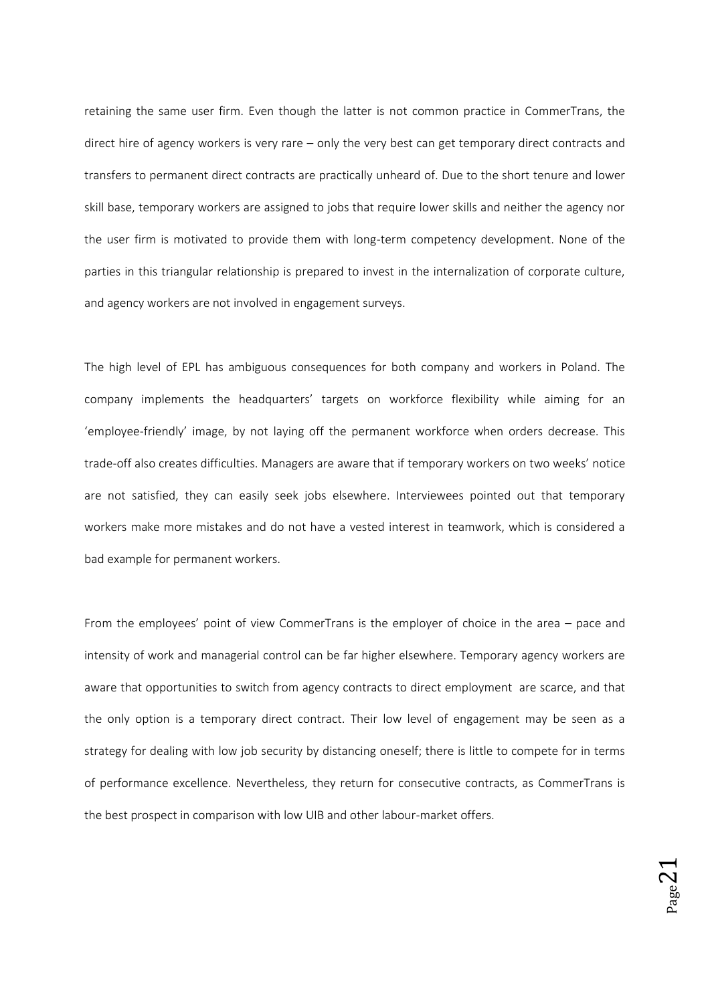retaining the same user firm. Even though the latter is not common practice in CommerTrans, the direct hire of agency workers is very rare – only the very best can get temporary direct contracts and transfers to permanent direct contracts are practically unheard of. Due to the short tenure and lower skill base, temporary workers are assigned to jobs that require lower skills and neither the agency nor the user firm is motivated to provide them with long-term competency development. None of the parties in this triangular relationship is prepared to invest in the internalization of corporate culture, and agency workers are not involved in engagement surveys.

The high level of EPL has ambiguous consequences for both company and workers in Poland. The company implements the headquarters' targets on workforce flexibility while aiming for an 'employee-friendly' image, by not laying off the permanent workforce when orders decrease. This trade-off also creates difficulties. Managers are aware that if temporary workers on two weeks' notice are not satisfied, they can easily seek jobs elsewhere. Interviewees pointed out that temporary workers make more mistakes and do not have a vested interest in teamwork, which is considered a bad example for permanent workers.

From the employees' point of view CommerTrans is the employer of choice in the area – pace and intensity of work and managerial control can be far higher elsewhere. Temporary agency workers are aware that opportunities to switch from agency contracts to direct employment are scarce, and that the only option is a temporary direct contract. Their low level of engagement may be seen as a strategy for dealing with low job security by distancing oneself; there is little to compete for in terms of performance excellence. Nevertheless, they return for consecutive contracts, as CommerTrans is the best prospect in comparison with low UIB and other labour-market offers.

 $_{\rm Page}$ 21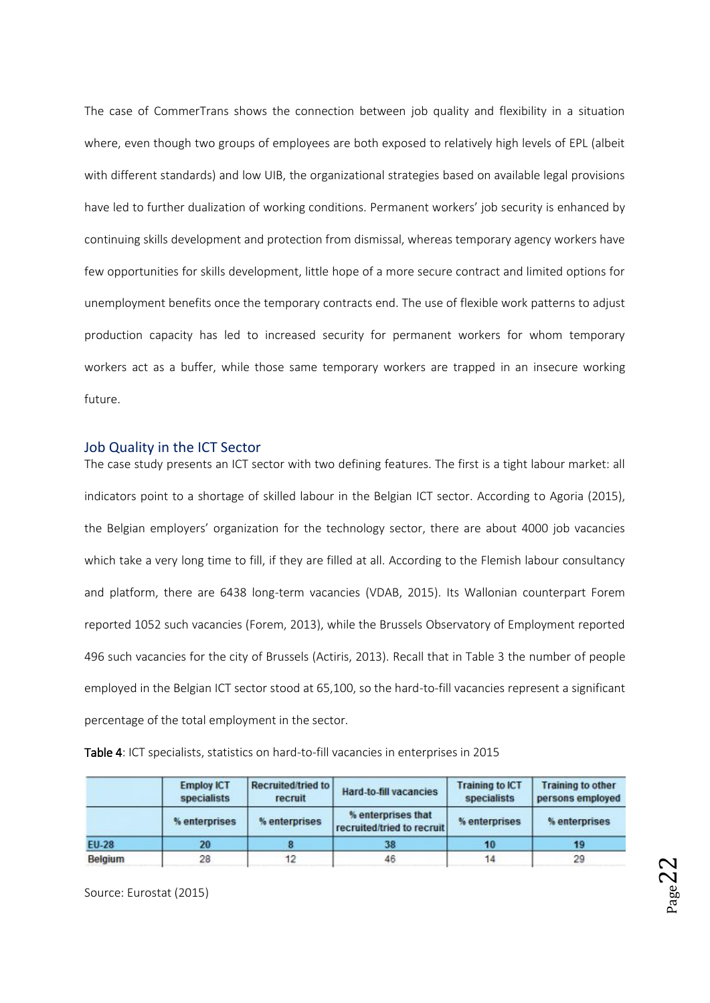The case of CommerTrans shows the connection between job quality and flexibility in a situation where, even though two groups of employees are both exposed to relatively high levels of EPL (albeit with different standards) and low UIB, the organizational strategies based on available legal provisions have led to further dualization of working conditions. Permanent workers' job security is enhanced by continuing skills development and protection from dismissal, whereas temporary agency workers have few opportunities for skills development, little hope of a more secure contract and limited options for unemployment benefits once the temporary contracts end. The use of flexible work patterns to adjust production capacity has led to increased security for permanent workers for whom temporary workers act as a buffer, while those same temporary workers are trapped in an insecure working future.

#### Job Quality in the ICT Sector

The case study presents an ICT sector with two defining features. The first is a tight labour market: all indicators point to a shortage of skilled labour in the Belgian ICT sector. According to Agoria (2015), the Belgian employers' organization for the technology sector, there are about 4000 job vacancies which take a very long time to fill, if they are filled at all. According to the Flemish labour consultancy and platform, there are 6438 long-term vacancies (VDAB, 2015). Its Wallonian counterpart Forem reported 1052 such vacancies (Forem, 2013), while the Brussels Observatory of Employment reported 496 such vacancies for the city of Brussels (Actiris, 2013). Recall that in Table 3 the number of people employed in the Belgian ICT sector stood at 65,100, so the hard-to-fill vacancies represent a significant percentage of the total employment in the sector.

Table 4: ICT specialists, statistics on hard-to-fill vacancies in enterprises in 2015

|                | <b>Employ ICT</b><br>specialists | <b>Recruited/tried to</b><br>recruit | Hard-to-fill vacancies                           | <b>Training to ICT</b><br>specialists | <b>Training to other</b><br>persons employed |  |
|----------------|----------------------------------|--------------------------------------|--------------------------------------------------|---------------------------------------|----------------------------------------------|--|
|                | % enterprises                    | % enterprises                        | % enterprises that<br>recruited/tried to recruit | % enterprises                         | % enterprises                                |  |
| <b>EU-28</b>   | 20                               |                                      | 38                                               | 10                                    | 19                                           |  |
| <b>Belgium</b> | 28                               | 12                                   | 46                                               | 14                                    | 29                                           |  |

Source: Eurostat (2015)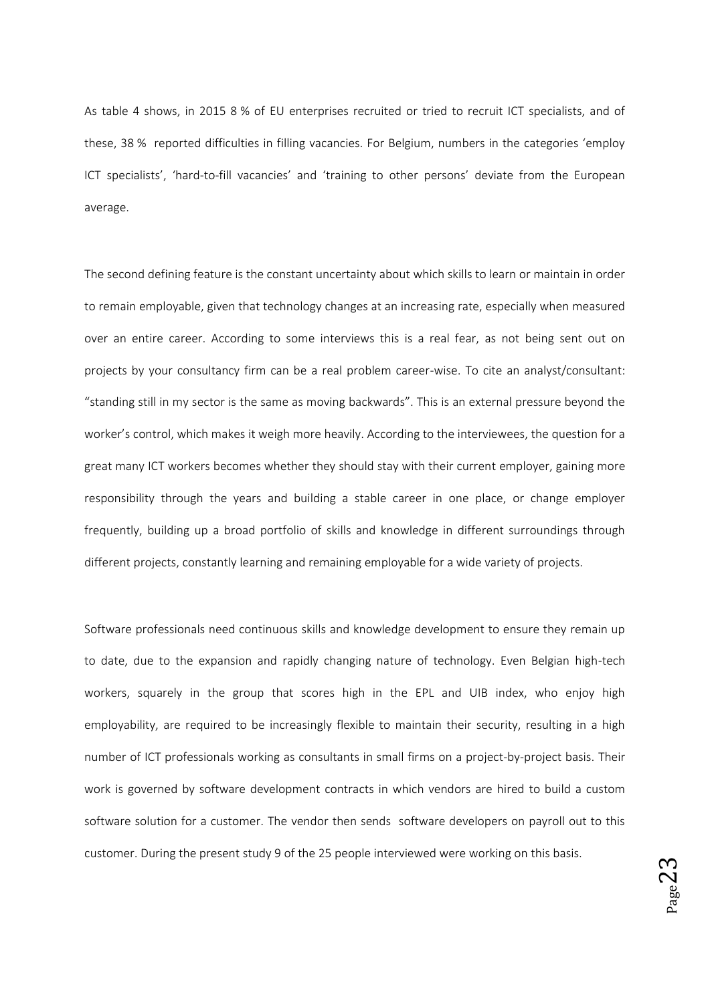As table 4 shows, in 2015 8 % of EU enterprises recruited or tried to recruit ICT specialists, and of these, 38 % reported difficulties in filling vacancies. For Belgium, numbers in the categories 'employ ICT specialists', 'hard-to-fill vacancies' and 'training to other persons' deviate from the European average.

The second defining feature is the constant uncertainty about which skills to learn or maintain in order to remain employable, given that technology changes at an increasing rate, especially when measured over an entire career. According to some interviews this is a real fear, as not being sent out on projects by your consultancy firm can be a real problem career-wise. To cite an analyst/consultant: "standing still in my sector is the same as moving backwards". This is an external pressure beyond the worker's control, which makes it weigh more heavily. According to the interviewees, the question for a great many ICT workers becomes whether they should stay with their current employer, gaining more responsibility through the years and building a stable career in one place, or change employer frequently, building up a broad portfolio of skills and knowledge in different surroundings through different projects, constantly learning and remaining employable for a wide variety of projects.

Software professionals need continuous skills and knowledge development to ensure they remain up to date, due to the expansion and rapidly changing nature of technology. Even Belgian high-tech workers, squarely in the group that scores high in the EPL and UIB index, who enjoy high employability, are required to be increasingly flexible to maintain their security, resulting in a high number of ICT professionals working as consultants in small firms on a project-by-project basis. Their work is governed by software development contracts in which vendors are hired to build a custom software solution for a customer. The vendor then sends software developers on payroll out to this customer. During the present study 9 of the 25 people interviewed were working on this basis.

 $_{\rm Page}$ 23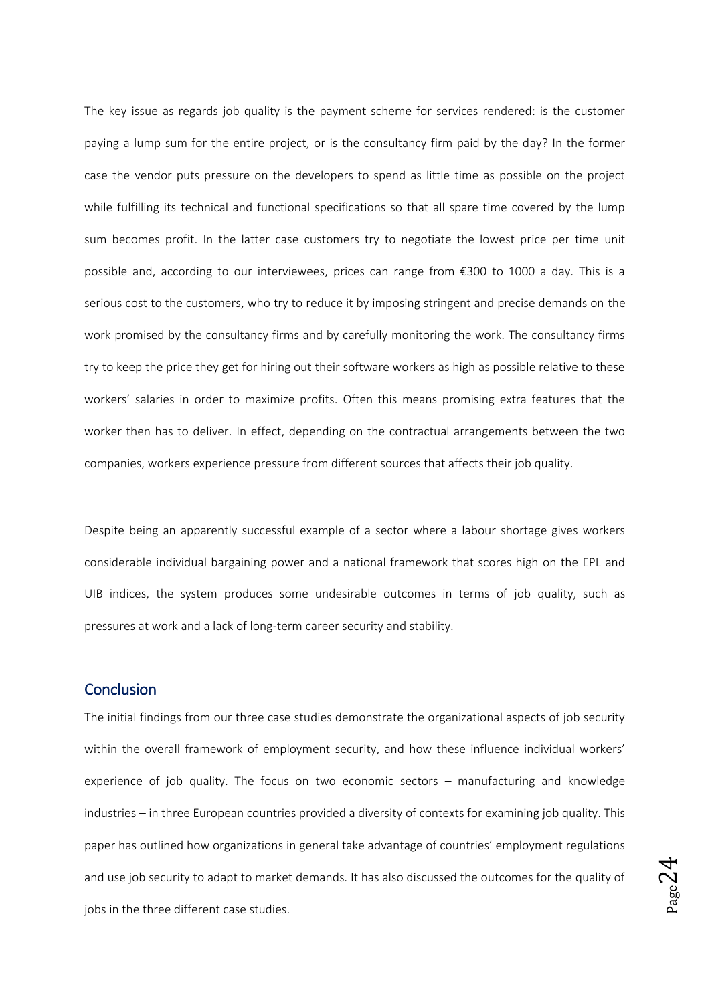The key issue as regards job quality is the payment scheme for services rendered: is the customer paying a lump sum for the entire project, or is the consultancy firm paid by the day? In the former case the vendor puts pressure on the developers to spend as little time as possible on the project while fulfilling its technical and functional specifications so that all spare time covered by the lump sum becomes profit. In the latter case customers try to negotiate the lowest price per time unit possible and, according to our interviewees, prices can range from €300 to 1000 a day. This is a serious cost to the customers, who try to reduce it by imposing stringent and precise demands on the work promised by the consultancy firms and by carefully monitoring the work. The consultancy firms try to keep the price they get for hiring out their software workers as high as possible relative to these workers' salaries in order to maximize profits. Often this means promising extra features that the worker then has to deliver. In effect, depending on the contractual arrangements between the two companies, workers experience pressure from different sources that affects their job quality.

Despite being an apparently successful example of a sector where a labour shortage gives workers considerable individual bargaining power and a national framework that scores high on the EPL and UIB indices, the system produces some undesirable outcomes in terms of job quality, such as pressures at work and a lack of long-term career security and stability.

## **Conclusion**

The initial findings from our three case studies demonstrate the organizational aspects of job security within the overall framework of employment security, and how these influence individual workers' experience of job quality. The focus on two economic sectors – manufacturing and knowledge industries – in three European countries provided a diversity of contexts for examining job quality. This paper has outlined how organizations in general take advantage of countries' employment regulations and use job security to adapt to market demands. It has also discussed the outcomes for the quality of jobs in the three different case studies.

 $_{\rm Page}$ 24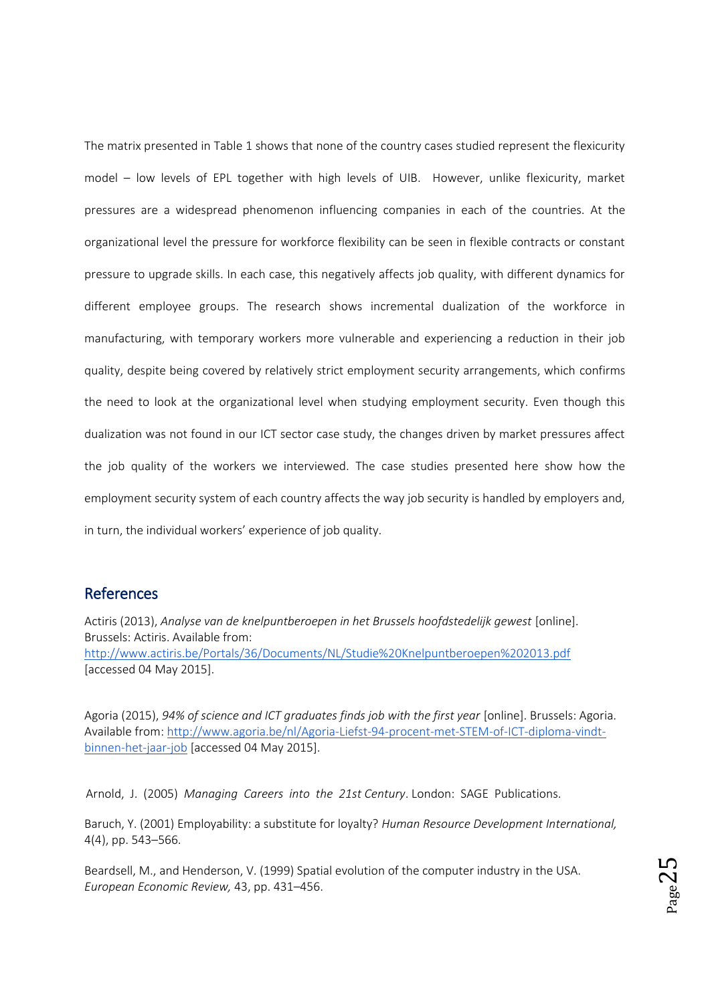The matrix presented in Table 1 shows that none of the country cases studied represent the flexicurity model – low levels of EPL together with high levels of UIB. However, unlike flexicurity, market pressures are a widespread phenomenon influencing companies in each of the countries. At the organizational level the pressure for workforce flexibility can be seen in flexible contracts or constant pressure to upgrade skills. In each case, this negatively affects job quality, with different dynamics for different employee groups. The research shows incremental dualization of the workforce in manufacturing, with temporary workers more vulnerable and experiencing a reduction in their job quality, despite being covered by relatively strict employment security arrangements, which confirms the need to look at the organizational level when studying employment security. Even though this dualization was not found in our ICT sector case study, the changes driven by market pressures affect the job quality of the workers we interviewed. The case studies presented here show how the employment security system of each country affects the way job security is handled by employers and, in turn, the individual workers' experience of job quality.

## **References**

Actiris (2013), *Analyse van de knelpuntberoepen in het Brussels hoofdstedelijk gewest* [online]. Brussels: Actiris. Available from: <http://www.actiris.be/Portals/36/Documents/NL/Studie%20Knelpuntberoepen%202013.pdf> [accessed 04 May 2015].

Agoria (2015), *94% of science and ICT graduates finds job with the first year* [online]. Brussels: Agoria. Available from: [http://www.agoria.be/nl/Agoria-Liefst-94-procent-met-STEM-of-ICT-diploma-vindt](http://www.agoria.be/nl/Agoria-Liefst-94-procent-met-STEM-of-ICT-diploma-vindt-binnen-het-jaar-job)[binnen-het-jaar-job](http://www.agoria.be/nl/Agoria-Liefst-94-procent-met-STEM-of-ICT-diploma-vindt-binnen-het-jaar-job) [accessed 04 May 2015].

Arnold, J. (2005) *Managing Careers into the 21st Century*. London: SAGE Publications.

Baruch, Y. (2001) Employability: a substitute for loyalty? *Human Resource Development International,* 4(4), pp. 543–566.

Beardsell, M., and Henderson, V. (1999) Spatial evolution of the computer industry in the USA. *European Economic Review,* 43, pp. 431–456.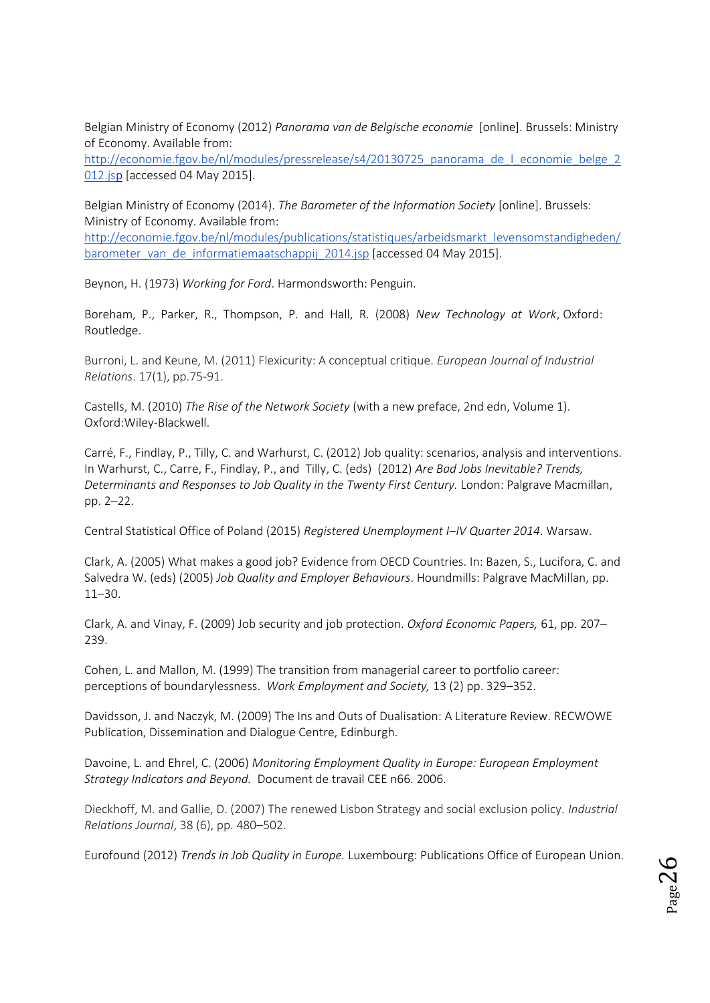Belgian Ministry of Economy (2012) *Panorama van de Belgische economie* [online]. Brussels: Ministry of Economy. Available from:

[http://economie.fgov.be/nl/modules/pressrelease/s4/20130725\\_panorama\\_de\\_l\\_economie\\_belge\\_2](http://economie.fgov.be/nl/modules/pressrelease/s4/20130725_panorama_de_l_economie_belge_2012.jsp) [012.jsp](http://economie.fgov.be/nl/modules/pressrelease/s4/20130725_panorama_de_l_economie_belge_2012.jsp) [accessed 04 May 2015].

Belgian Ministry of Economy (2014). *The Barometer of the Information Society* [online]. Brussels: Ministry of Economy. Available from:

[http://economie.fgov.be/nl/modules/publications/statistiques/arbeidsmarkt\\_levensomstandigheden/](http://economie.fgov.be/nl/modules/publications/statistiques/arbeidsmarkt_levensomstandigheden/barometer_van_de_informatiemaatschappij_2014.jsp) [barometer\\_van\\_de\\_informatiemaatschappij\\_2014.jsp](http://economie.fgov.be/nl/modules/publications/statistiques/arbeidsmarkt_levensomstandigheden/barometer_van_de_informatiemaatschappij_2014.jsp) [accessed 04 May 2015].

Beynon, H. (1973) *Working for Ford*. Harmondsworth: Penguin.

Boreham, P., Parker, R., Thompson, P. and Hall, R. (2008) *New Technology at Work*, Oxford: Routledge.

Burroni, L. and Keune, M. (2011) Flexicurity: A conceptual critique. *European Journal of Industrial Relations*. 17(1), pp.75-91.

Castells, M. (2010) *The Rise of the Network Society* (with a new preface, 2nd edn, Volume 1). Oxford:Wiley-Blackwell.

Carré, F., Findlay, P., Tilly, C. and Warhurst, C. (2012) Job quality: scenarios, analysis and interventions. In Warhurst, C., Carre, F., Findlay, P., and Tilly, C. (eds) (2012) *Are Bad Jobs Inevitable? Trends, Determinants and Responses to Job Quality in the Twenty First Century.* London: Palgrave Macmillan, pp. 2–22.

Central Statistical Office of Poland (2015) *Registered Unemployment I–IV Quarter 2014*. Warsaw.

Clark, A. (2005) What makes a good job? Evidence from OECD Countries. In: Bazen, S., Lucifora, C. and Salvedra W. (eds) (2005) *Job Quality and Employer Behaviours*. Houndmills: Palgrave MacMillan, pp. 11–30.

Clark, A. and Vinay, F. (2009) Job security and job protection. *Oxford Economic Papers,* 61, pp. 207– 239.

Cohen, L. and Mallon, M. (1999) The transition from managerial career to portfolio career: perceptions of boundarylessness. *Work Employment and Society,* 13 (2) pp. 329–352.

Davidsson, J. and Naczyk, M. (2009) The Ins and Outs of Dualisation: A Literature Review. RECWOWE Publication, Dissemination and Dialogue Centre, Edinburgh.

Davoine, L. and Ehrel, C. (2006) *Monitoring Employment Quality in Europe: European Employment Strategy Indicators and Beyond.* Document de travail CEE n66. 2006.

Dieckhoff, M. and Gallie, D. (2007) The renewed Lisbon Strategy and social exclusion policy. *Industrial Relations Journal*, 38 (6), pp. 480–502.

Eurofound (2012) *Trends in Job Quality in Europe.* Luxembourg: Publications Office of European Union.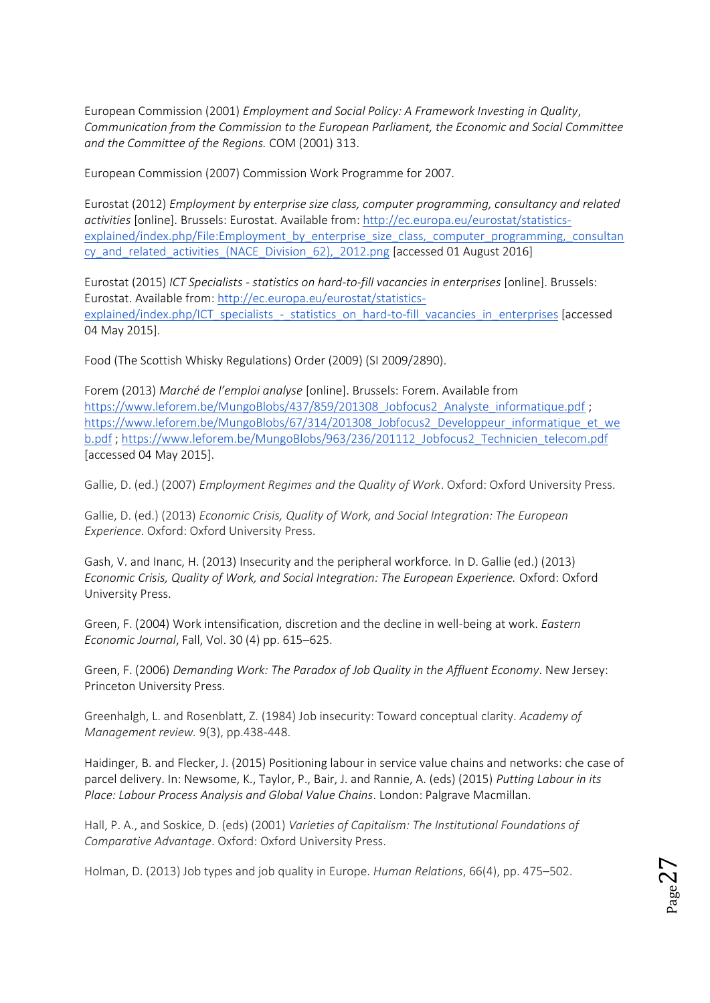European Commission (2001) *Employment and Social Policy: A Framework Investing in Quality*, *Communication from the Commission to the European Parliament, the Economic and Social Committee and the Committee of the Regions.* COM (2001) 313.

European Commission (2007) Commission Work Programme for 2007.

Eurostat (2012) *Employment by enterprise size class, computer programming, consultancy and related activities* [online]. Brussels: Eurostat. Available from: [http://ec.europa.eu/eurostat/statistics](http://ec.europa.eu/eurostat/statistics-explained/index.php/File:Employment_by_enterprise_size_class,_computer_programming,_consultancy_and_related_activities_(NACE_Division_62),_2012.png)[explained/index.php/File:Employment\\_by\\_enterprise\\_size\\_class,\\_computer\\_programming,\\_consultan](http://ec.europa.eu/eurostat/statistics-explained/index.php/File:Employment_by_enterprise_size_class,_computer_programming,_consultancy_and_related_activities_(NACE_Division_62),_2012.png) [cy\\_and\\_related\\_activities\\_\(NACE\\_Division\\_62\),\\_2012.png](http://ec.europa.eu/eurostat/statistics-explained/index.php/File:Employment_by_enterprise_size_class,_computer_programming,_consultancy_and_related_activities_(NACE_Division_62),_2012.png) [accessed 01 August 2016]

Eurostat (2015) *ICT Specialists - statistics on hard-to-fill vacancies in enterprises* [online]. Brussels: Eurostat. Available from[: http://ec.europa.eu/eurostat/statistics](http://ec.europa.eu/eurostat/statistics-explained/index.php/ICT_specialists_-_statistics_on_hard-to-fill_vacancies_in_enterprises)explained/index.php/ICT\_specialists - statistics\_on\_hard-to-fill\_vacancies\_in\_enterprises [accessed 04 May 2015].

Food (The Scottish Whisky Regulations) Order (2009) (SI 2009/2890).

Forem (2013) *Marché de l'emploi analyse* [online]. Brussels: Forem. Available from [https://www.leforem.be/MungoBlobs/437/859/201308\\_Jobfocus2\\_Analyste\\_informatique.pdf](https://www.leforem.be/MungoBlobs/437/859/201308_Jobfocus2_Analyste_informatique.pdf) ; [https://www.leforem.be/MungoBlobs/67/314/201308\\_Jobfocus2\\_Developpeur\\_informatique\\_et\\_we](https://www.leforem.be/MungoBlobs/67/314/201308_Jobfocus2_Developpeur_informatique_et_web.pdf) [b.pdf](https://www.leforem.be/MungoBlobs/67/314/201308_Jobfocus2_Developpeur_informatique_et_web.pdf) ; [https://www.leforem.be/MungoBlobs/963/236/201112\\_Jobfocus2\\_Technicien\\_telecom.pdf](https://www.leforem.be/MungoBlobs/963/236/201112_Jobfocus2_Technicien_telecom.pdf) [accessed 04 May 2015].

Gallie, D. (ed.) (2007) *Employment Regimes and the Quality of Work*. Oxford: Oxford University Press.

Gallie, D. (ed.) (2013) *Economic Crisis, Quality of Work, and Social Integration: The European Experience*. Oxford: Oxford University Press.

Gash, V. and Inanc, H. (2013) Insecurity and the peripheral workforce. In D. Gallie (ed.) (2013) *Economic Crisis, Quality of Work, and Social Integration: The European Experience.* Oxford: Oxford University Press.

Green, F. (2004) Work intensification, discretion and the decline in well-being at work. *Eastern Economic Journal*, Fall, Vol. 30 (4) pp. 615–625.

Green, F. (2006) *Demanding Work: The Paradox of Job Quality in the Affluent Economy*. New Jersey: Princeton University Press.

Greenhalgh, L. and Rosenblatt, Z. (1984) Job insecurity: Toward conceptual clarity. *Academy of Management review.* 9(3), pp.438-448.

Haidinger, B. and Flecker, J. (2015) Positioning labour in service value chains and networks: che case of parcel delivery. In: Newsome, K., Taylor, P., Bair, J. and Rannie, A. (eds) (2015) *Putting Labour in its Place: Labour Process Analysis and Global Value Chains*. London: Palgrave Macmillan.

Hall, P. A., and Soskice, D. (eds) (2001) *Varieties of Capitalism: The Institutional Foundations of Comparative Advantage*. Oxford: Oxford University Press.

Holman, D. (2013) Job types and job quality in Europe. *Human Relations*, 66(4), pp. 475–502.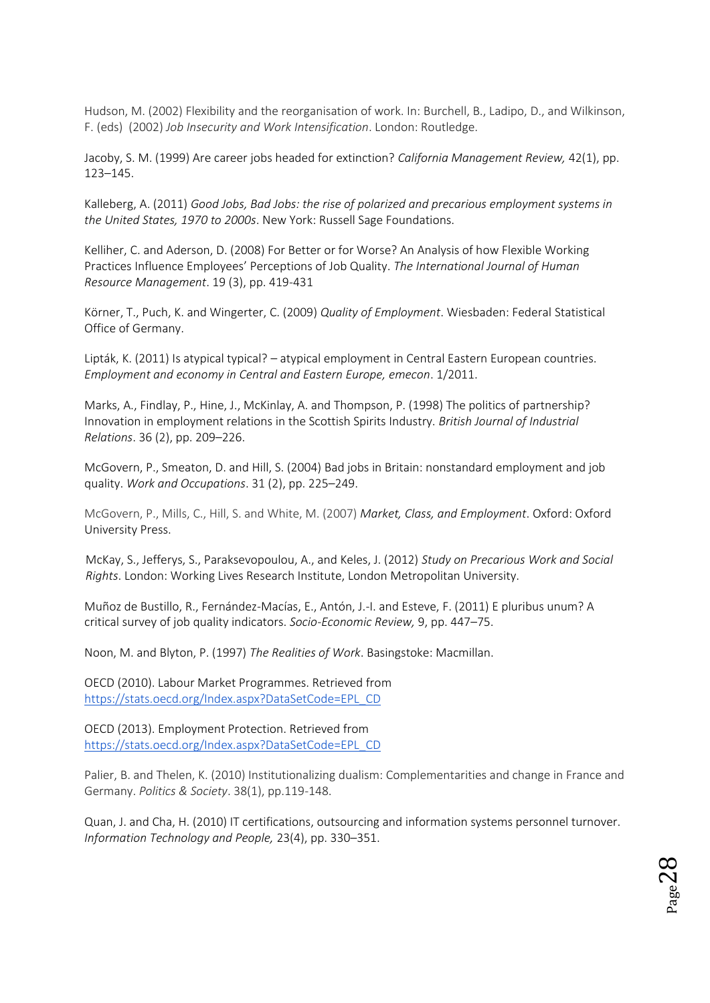Hudson, M. (2002) Flexibility and the reorganisation of work. In: Burchell, B., Ladipo, D., and Wilkinson, F. (eds) (2002) *Job Insecurity and Work Intensification*. London: Routledge.

Jacoby, S. M. (1999) Are career jobs headed for extinction? *California Management Review,* 42(1), pp. 123–145.

Kalleberg, A. (2011) *Good Jobs, Bad Jobs: the rise of polarized and precarious employment systems in the United States, 1970 to 2000s*. New York: Russell Sage Foundations.

Kelliher, C. and Aderson, D. (2008) For Better or for Worse? An Analysis of how Flexible Working Practices Influence Employees' Perceptions of Job Quality. *The International Journal of Human Resource Management*. 19 (3), pp. 419-431

Körner, T., Puch, K. and Wingerter, C. (2009) *Quality of Employment*. Wiesbaden: Federal Statistical Office of Germany.

Lipták, K. (2011) Is atypical typical? – atypical employment in Central Eastern European countries. *Employment and economy in Central and Eastern Europe, emecon*. 1/2011.

Marks, A., Findlay, P., Hine, J., McKinlay, A. and Thompson, P. (1998) The politics of partnership? Innovation in employment relations in the Scottish Spirits Industry. *British Journal of Industrial Relations*. 36 (2), pp. 209–226.

McGovern, P., Smeaton, D. and Hill, S. (2004) Bad jobs in Britain: nonstandard employment and job quality. *Work and Occupations*. 31 (2), pp. 225–249.

McGovern, P., Mills, C., Hill, S. and White, M. (2007) *Market, Class, and Employment*. Oxford: Oxford University Press.

McKay, S., Jefferys, S., Paraksevopoulou, A., and Keles, J. (2012) *Study on Precarious Work and Social Rights*. London: Working Lives Research Institute, London Metropolitan University.

Muñoz de Bustillo, R., Fernández-Macías, E., Antón, J.-I. and Esteve, F. (2011) E pluribus unum? A critical survey of job quality indicators. *Socio-Economic Review,* 9, pp. 447–75.

Noon, M. and Blyton, P. (1997) *The Realities of Work*. Basingstoke: Macmillan.

OECD (2010). Labour Market Programmes. Retrieved fro[m](https://stats.oecd.org/Index.aspx?DataSetCode=EPL_CD) [https://stats.oecd.org/Index.aspx?DataSetCode=EPL\\_CD](https://stats.oecd.org/Index.aspx?DataSetCode=EPL_CD)

OECD (2013). Employment Protection. Retrieved fro[m](https://stats.oecd.org/Index.aspx?DataSetCode=EPL_CD) [https://stats.oecd.org/Index.aspx?DataSetCode=EPL\\_CD](https://stats.oecd.org/Index.aspx?DataSetCode=EPL_CD)

Palier, B. and Thelen, K. (2010) Institutionalizing dualism: Complementarities and change in France and Germany. *Politics & Society*. 38(1), pp.119-148.

Quan, J. and Cha, H. (2010) IT certifications, outsourcing and information systems personnel turnover. *Information Technology and People,* 23(4), pp. 330–351.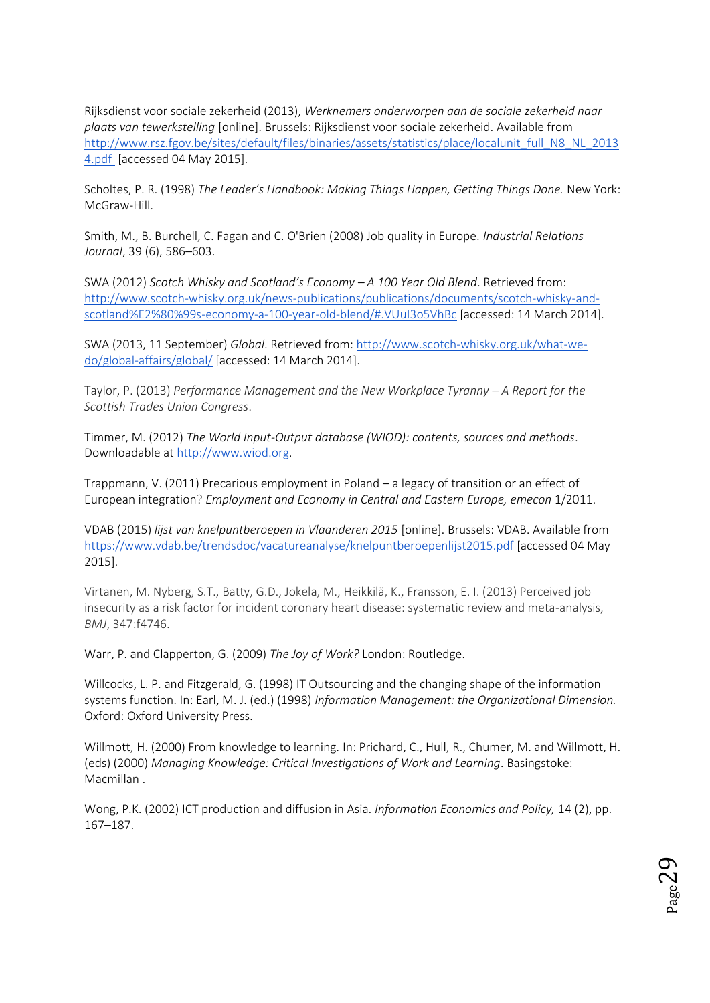Rijksdienst voor sociale zekerheid (2013), *Werknemers onderworpen aan de sociale zekerheid naar plaats van tewerkstelling* [online]. Brussels: Rijksdienst voor sociale zekerheid. Available fro[m](http://www.rsz.fgov.be/sites/default/files/binaries/assets/statistics/place/localunit_full_N8_NL_20134.pdf) [http://www.rsz.fgov.be/sites/default/files/binaries/assets/statistics/place/localunit\\_full\\_N8\\_NL\\_2013](http://www.rsz.fgov.be/sites/default/files/binaries/assets/statistics/place/localunit_full_N8_NL_20134.pdf) [4.pdf \[](http://www.rsz.fgov.be/sites/default/files/binaries/assets/statistics/place/localunit_full_N8_NL_20134.pdf)accessed 04 May 2015].

Scholtes, P. R. (1998) *The Leader's Handbook: Making Things Happen, Getting Things Done.* New York: McGraw-Hill.

Smith, M., B. Burchell, C. Fagan and C. O'Brien (2008) Job quality in Europe. *Industrial Relations Journal*, 39 (6), 586–603.

SWA (2012) *Scotch Whisky and Scotland's Economy – A 100 Year Old Blend*. Retrieved from[:](http://www.scotch-whisky.org.uk/news-publications/publications/documents/scotch-whisky-and-scotland%E2%80%99s-economy-a-100-year-old-blend/#.VUuI3o5VhBc) [http://www.scotch-whisky.org.uk/news-publications/publications/documents/scotch-whisky-and](http://www.scotch-whisky.org.uk/news-publications/publications/documents/scotch-whisky-and-scotland%E2%80%99s-economy-a-100-year-old-blend/#.VUuI3o5VhBc)[scotland%E2%80%99s-economy-a-100-year-old-blend/#.VUuI3o5VhBc](http://www.scotch-whisky.org.uk/news-publications/publications/documents/scotch-whisky-and-scotland%E2%80%99s-economy-a-100-year-old-blend/#.VUuI3o5VhBc) [accessed: 14 March 2014].

SWA (2013, 11 September) *Global*. Retrieved from[:](http://www.scotch-whisky.org.uk/what-we-do/global-affairs/global/) [http://www.scotch-whisky.org.uk/what-we](http://www.scotch-whisky.org.uk/what-we-do/global-affairs/global/)[do/global-affairs/global/](http://www.scotch-whisky.org.uk/what-we-do/global-affairs/global/) [accessed: 14 March 2014].

Taylor, P. (2013) *Performance Management and the New Workplace Tyranny – A Report for the Scottish Trades Union Congress*.

Timmer, M. (2012) *The World Input-Output database (WIOD): contents, sources and methods*. Downloadable a[t](http://www.wiod.org/) [http://www.wiod.org.](http://www.wiod.org/)

Trappmann, V. (2011) Precarious employment in Poland – a legacy of transition or an effect of European integration? *Employment and Economy in Central and Eastern Europe, emecon* 1/2011.

VDAB (2015) *lijst van knelpuntberoepen in Vlaanderen 2015* [online]. Brussels: VDAB. Available from <https://www.vdab.be/trendsdoc/vacatureanalyse/knelpuntberoepenlijst2015.pdf> [accessed 04 May 2015].

Virtanen, M. Nyberg, S.T., Batty, G.D., Jokela, M., Heikkilä, K., Fransson, E. I. (2013) Perceived job insecurity as a risk factor for incident coronary heart disease: systematic review and meta-analysis, *BMJ*, 347:f4746.

Warr, P. and Clapperton, G. (2009) *The Joy of Work?* London: Routledge.

Willcocks, L. P. and Fitzgerald, G. (1998) IT Outsourcing and the changing shape of the information systems function. In: Earl, M. J. (ed.) (1998) *Information Management: the Organizational Dimension.*  Oxford: Oxford University Press.

Willmott, H. (2000) From knowledge to learning. In: Prichard, C., Hull, R., Chumer, M. and Willmott, H. (eds) (2000) *Managing Knowledge: Critical Investigations of Work and Learning*. Basingstoke: Macmillan .

Wong, P.K. (2002) ICT production and diffusion in Asia. *Information Economics and Policy,* 14 (2), pp. 167–187.